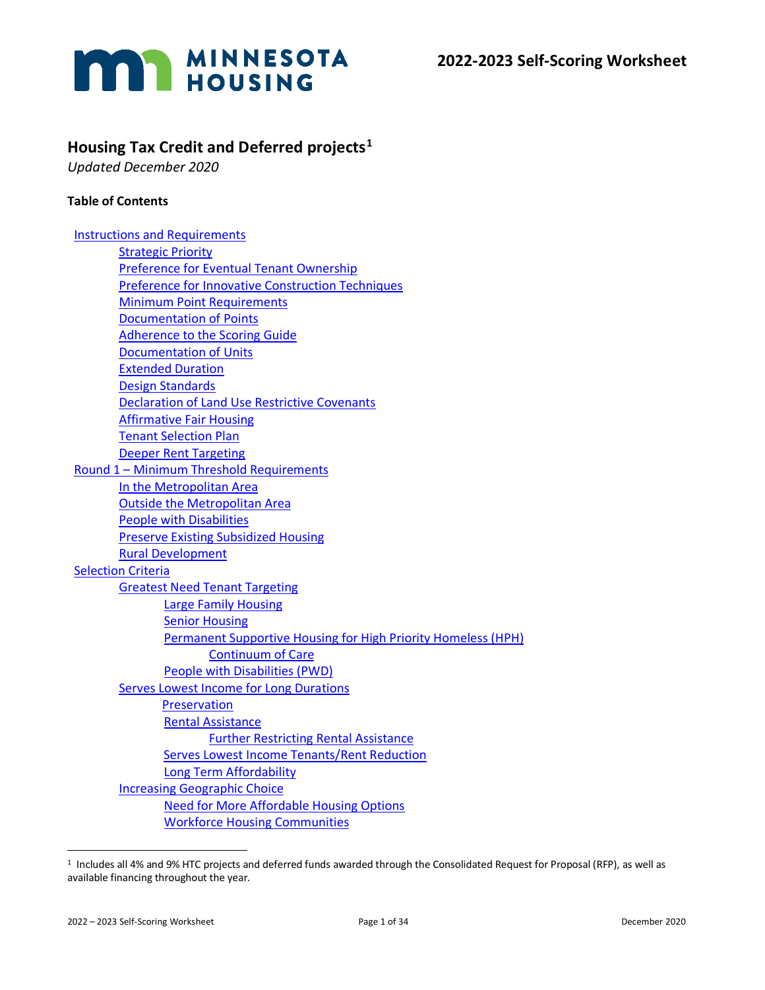

# **Housing Tax Credit and Deferred projects[1](#page-0-0)**

*Updated December 2020*

#### **Table of Contents**

| <b>Instructions and Requirements</b>                          |
|---------------------------------------------------------------|
| <b>Strategic Priority</b>                                     |
| <b>Preference for Eventual Tenant Ownership</b>               |
| <b>Preference for Innovative Construction Techniques</b>      |
| <b>Minimum Point Requirements</b>                             |
| <b>Documentation of Points</b>                                |
| <b>Adherence to the Scoring Guide</b>                         |
| <b>Documentation of Units</b>                                 |
| <b>Extended Duration</b>                                      |
| <b>Design Standards</b>                                       |
| <b>Declaration of Land Use Restrictive Covenants</b>          |
| <b>Affirmative Fair Housing</b>                               |
| <b>Tenant Selection Plan</b>                                  |
| <b>Deeper Rent Targeting</b>                                  |
| Round 1 - Minimum Threshold Requirements                      |
| In the Metropolitan Area                                      |
| <b>Outside the Metropolitan Area</b>                          |
| <b>People with Disabilities</b>                               |
| <b>Preserve Existing Subsidized Housing</b>                   |
| <b>Rural Development</b>                                      |
| <b>Selection Criteria</b>                                     |
| <b>Greatest Need Tenant Targeting</b>                         |
| <b>Large Family Housing</b>                                   |
| <b>Senior Housing</b>                                         |
| Permanent Supportive Housing for High Priority Homeless (HPH) |
| <b>Continuum of Care</b>                                      |
| People with Disabilities (PWD)                                |
| <b>Serves Lowest Income for Long Durations</b>                |
| Preservation                                                  |
| <b>Rental Assistance</b>                                      |
| <b>Further Restricting Rental Assistance</b>                  |
| <b>Serves Lowest Income Tenants/Rent Reduction</b>            |
| Long Term Affordability                                       |
| <b>Increasing Geographic Choice</b>                           |
| <b>Need for More Affordable Housing Options</b>               |
| <b>Workforce Housing Communities</b>                          |

<span id="page-0-0"></span><sup>1</sup> Includes all 4% and 9% HTC projects and deferred funds awarded through the Consolidated Request for Proposal (RFP), as well as available financing throughout the year.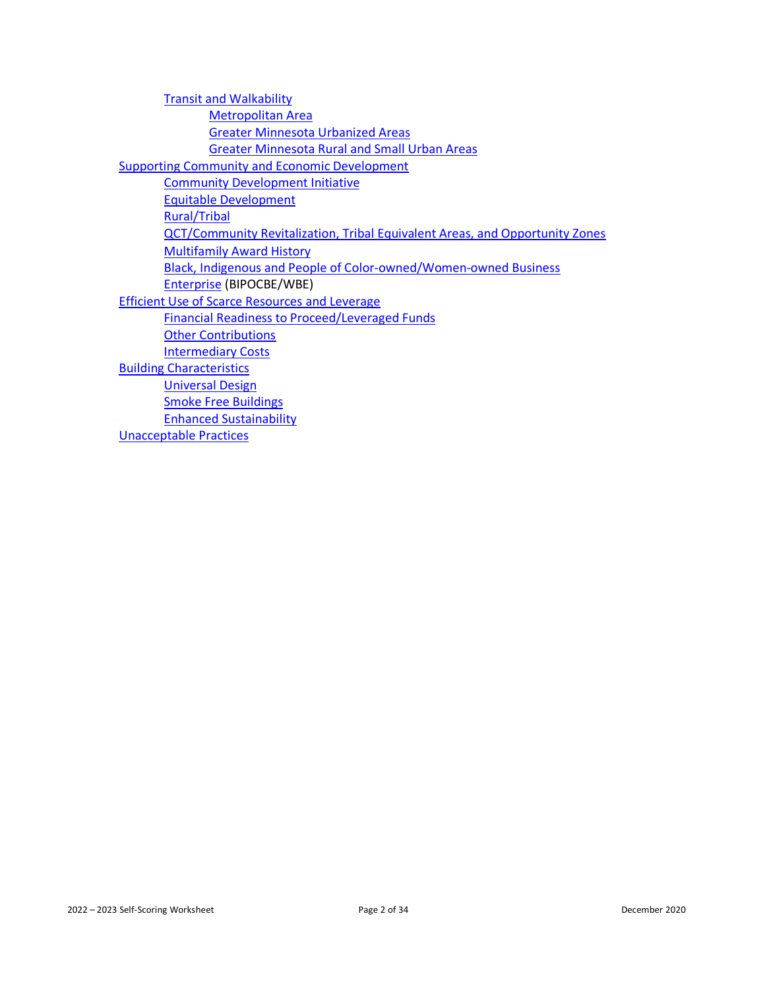| <b>Transit and Walkability</b>                                                      |
|-------------------------------------------------------------------------------------|
| <b>Metropolitan Area</b>                                                            |
| <b>Greater Minnesota Urbanized Areas</b>                                            |
| <b>Greater Minnesota Rural and Small Urban Areas</b>                                |
| <b>Supporting Community and Economic Development</b>                                |
| <b>Community Development Initiative</b>                                             |
| <b>Equitable Development</b>                                                        |
| <b>Rural/Tribal</b>                                                                 |
| <b>QCT/Community Revitalization, Tribal Equivalent Areas, and Opportunity Zones</b> |
| <b>Multifamily Award History</b>                                                    |
| Black, Indigenous and People of Color-owned/Women-owned Business                    |
| Enterprise (BIPOCBE/WBE)                                                            |
| <b>Efficient Use of Scarce Resources and Leverage</b>                               |
| <b>Financial Readiness to Proceed/Leveraged Funds</b>                               |
| <b>Other Contributions</b>                                                          |
| <b>Intermediary Costs</b>                                                           |
| <b>Building Characteristics</b>                                                     |
| <b>Universal Design</b>                                                             |
| <b>Smoke Free Buildings</b>                                                         |
| <b>Enhanced Sustainability</b>                                                      |
| <b>Unacceptable Practices</b>                                                       |
|                                                                                     |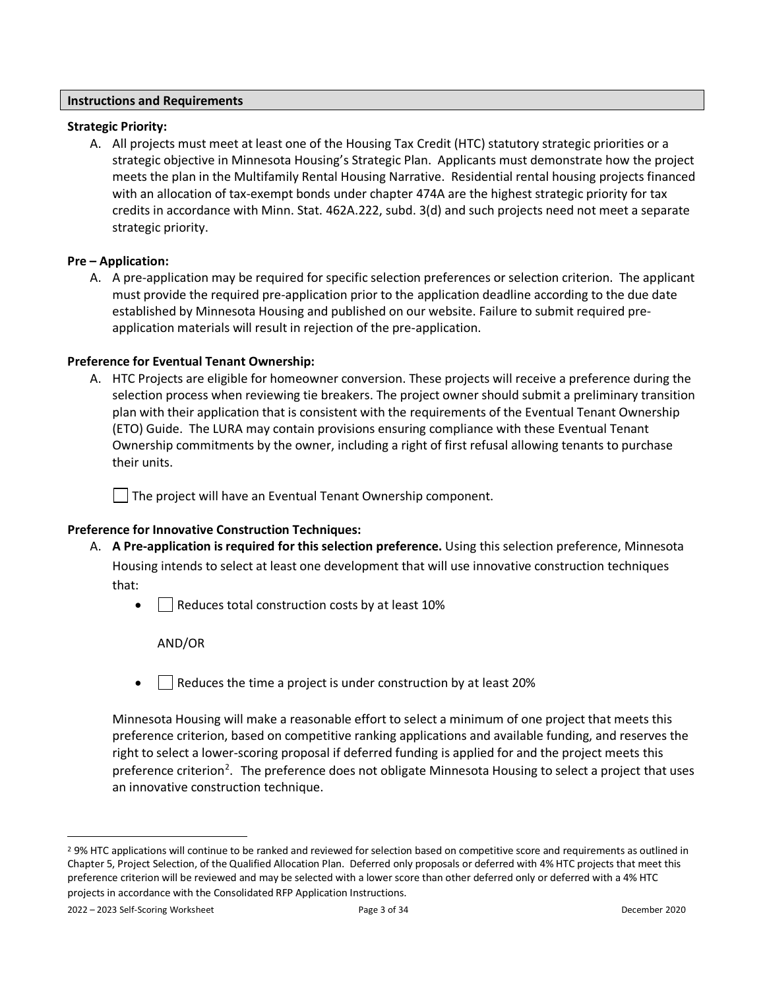#### <span id="page-2-0"></span>**Instructions and Requirements**

#### <span id="page-2-1"></span>**Strategic Priority:**

A. All projects must meet at least one of the Housing Tax Credit (HTC) statutory strategic priorities or a strategic objective in Minnesota Housing's Strategic Plan. Applicants must demonstrate how the project meets the plan in the Multifamily Rental Housing Narrative. Residential rental housing projects financed with an allocation of tax-exempt bonds under chapter 474A are the highest strategic priority for tax credits in accordance with Minn. Stat. 462A.222, subd. 3(d) and such projects need not meet a separate strategic priority.

#### <span id="page-2-2"></span>**Pre – Application:**

A. A pre-application may be required for specific selection preferences or selection criterion. The applicant must provide the required pre-application prior to the application deadline according to the due date established by Minnesota Housing and published on our website. Failure to submit required preapplication materials will result in rejection of the pre-application.

#### **Preference for Eventual Tenant Ownership:**

A. HTC Projects are eligible for homeowner conversion. These projects will receive a preference during the selection process when reviewing tie breakers. The project owner should submit a preliminary transition plan with their application that is consistent with the requirements of the Eventual Tenant Ownership (ETO) Guide. The LURA may contain provisions ensuring compliance with these Eventual Tenant Ownership commitments by the owner, including a right of first refusal allowing tenants to purchase their units.

 $\Box$  The project will have an Eventual Tenant Ownership component.

#### <span id="page-2-3"></span>**Preference for Innovative Construction Techniques:**

- A. **A Pre-application is required for this selection preference.** Using this selection preference, Minnesota Housing intends to select at least one development that will use innovative construction techniques that:
	- $\Box$  Reduces total construction costs by at least 10%

AND/OR

 $\Box$  Reduces the time a project is under construction by at least 20%

Minnesota Housing will make a reasonable effort to select a minimum of one project that meets this preference criterion, based on competitive ranking applications and available funding, and reserves the right to select a lower-scoring proposal if deferred funding is applied for and the project meets this preference criterion<sup>[2](#page-2-4)</sup>. The preference does not obligate Minnesota Housing to select a project that uses an innovative construction technique.

<span id="page-2-4"></span><sup>&</sup>lt;sup>2</sup> 9% HTC applications will continue to be ranked and reviewed for selection based on competitive score and requirements as outlined in Chapter 5, Project Selection, of the Qualified Allocation Plan. Deferred only proposals or deferred with 4% HTC projects that meet this preference criterion will be reviewed and may be selected with a lower score than other deferred only or deferred with a 4% HTC projects in accordance with the Consolidated RFP Application Instructions.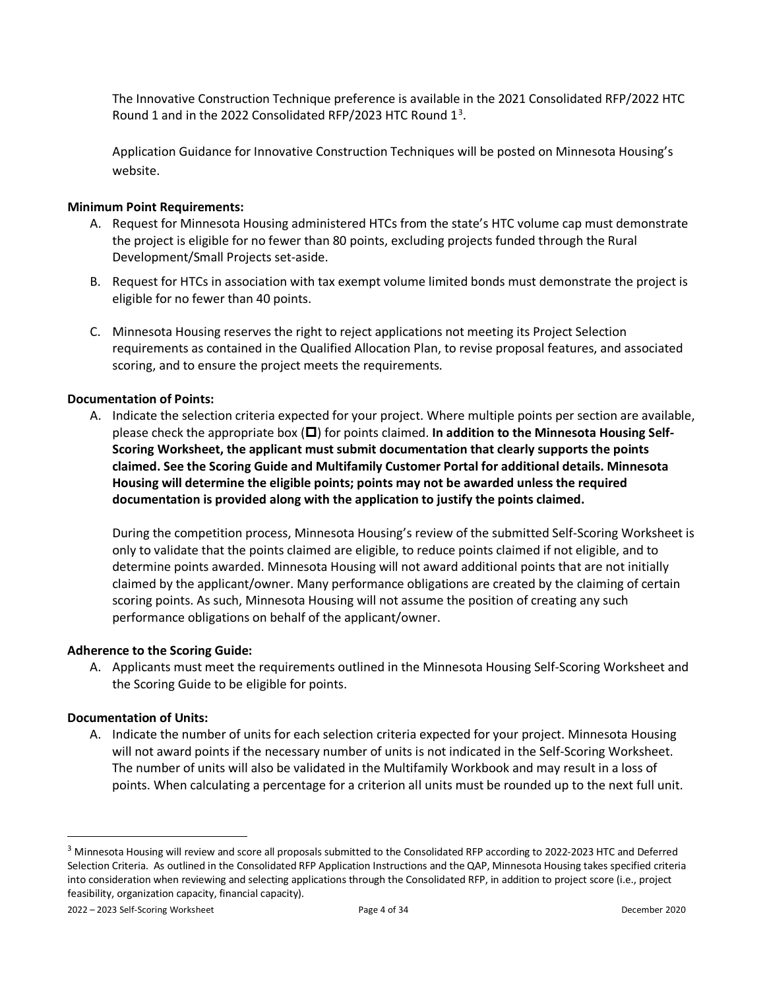The Innovative Construction Technique preference is available in the 2021 Consolidated RFP/2022 HTC Round 1 and in the 2022 Consolidated RFP/202[3](#page-3-5) HTC Round  $1^3$ .

Application Guidance for Innovative Construction Techniques will be posted on Minnesota Housing's website.

#### <span id="page-3-0"></span>**Minimum Point Requirements:**

- A. Request for Minnesota Housing administered HTCs from the state's HTC volume cap must demonstrate the project is eligible for no fewer than 80 points, excluding projects funded through the Rural Development/Small Projects set-aside.
- B. Request for HTCs in association with tax exempt volume limited bonds must demonstrate the project is eligible for no fewer than 40 points.
- C. Minnesota Housing reserves the right to reject applications not meeting its Project Selection requirements as contained in the Qualified Allocation Plan, to revise proposal features, and associated scoring, and to ensure the project meets the requirements*.*

### <span id="page-3-1"></span>**Documentation of Points:**

A. Indicate the selection criteria expected for your project. Where multiple points per section are available, please check the appropriate box ( $\square$ ) for points claimed. In addition to the Minnesota Housing Self-**Scoring Worksheet, the applicant must submit documentation that clearly supports the points claimed. See the Scoring Guide and Multifamily Customer Portal for additional details. Minnesota Housing will determine the eligible points; points may not be awarded unless the required documentation is provided along with the application to justify the points claimed.**

During the competition process, Minnesota Housing's review of the submitted Self-Scoring Worksheet is only to validate that the points claimed are eligible, to reduce points claimed if not eligible, and to determine points awarded. Minnesota Housing will not award additional points that are not initially claimed by the applicant/owner. Many performance obligations are created by the claiming of certain scoring points. As such, Minnesota Housing will not assume the position of creating any such performance obligations on behalf of the applicant/owner.

#### <span id="page-3-2"></span>**Adherence to the Scoring Guide:**

A. Applicants must meet the requirements outlined in the Minnesota Housing Self-Scoring Worksheet and the Scoring Guide to be eligible for points.

#### <span id="page-3-3"></span>**Documentation of Units:**

A. Indicate the number of units for each selection criteria expected for your project. Minnesota Housing will not award points if the necessary number of units is not indicated in the Self-Scoring Worksheet. The number of units will also be validated in the Multifamily Workbook and may result in a loss of points. When calculating a percentage for a criterion all units must be rounded up to the next full unit.

<span id="page-3-5"></span><span id="page-3-4"></span><sup>&</sup>lt;sup>3</sup> Minnesota Housing will review and score all proposals submitted to the Consolidated RFP according to 2022-2023 HTC and Deferred Selection Criteria. As outlined in the Consolidated RFP Application Instructions and the QAP, Minnesota Housing takes specified criteria into consideration when reviewing and selecting applications through the Consolidated RFP, in addition to project score (i.e., project feasibility, organization capacity, financial capacity).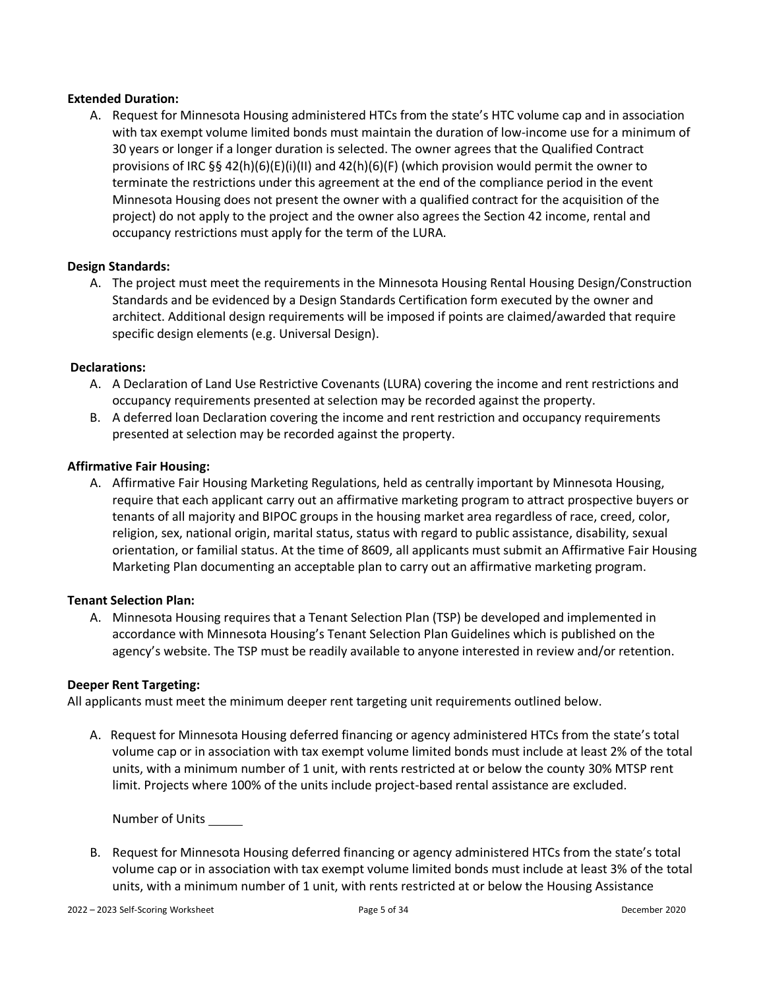#### **Extended Duration:**

A. Request for Minnesota Housing administered HTCs from the state's HTC volume cap and in association with tax exempt volume limited bonds must maintain the duration of low-income use for a minimum of 30 years or longer if a longer duration is selected. The owner agrees that the Qualified Contract provisions of IRC §§ 42(h)(6)(E)(i)(II) and 42(h)(6)(F) (which provision would permit the owner to terminate the restrictions under this agreement at the end of the compliance period in the event Minnesota Housing does not present the owner with a qualified contract for the acquisition of the project) do not apply to the project and the owner also agrees the Section 42 income, rental and occupancy restrictions must apply for the term of the LURA.

#### **Design Standards:**

<span id="page-4-0"></span>A. The project must meet the requirements in the Minnesota Housing Rental Housing Design/Construction Standards and be evidenced by a Design Standards Certification form executed by the owner and architect. Additional design requirements will be imposed if points are claimed/awarded that require specific design elements (e.g. Universal Design).

#### <span id="page-4-1"></span>**Declarations:**

- A. A Declaration of Land Use Restrictive Covenants (LURA) covering the income and rent restrictions and occupancy requirements presented at selection may be recorded against the property.
- B. A deferred loan Declaration covering the income and rent restriction and occupancy requirements presented at selection may be recorded against the property.

#### <span id="page-4-2"></span>**Affirmative Fair Housing:**

A. Affirmative Fair Housing Marketing Regulations, held as centrally important by Minnesota Housing, require that each applicant carry out an affirmative marketing program to attract prospective buyers or tenants of all majority and BIPOC groups in the housing market area regardless of race, creed, color, religion, sex, national origin, marital status, status with regard to public assistance, disability, sexual orientation, or familial status. At the time of 8609, all applicants must submit an Affirmative Fair Housing Marketing Plan documenting an acceptable plan to carry out an affirmative marketing program.

#### **Tenant Selection Plan:**

<span id="page-4-3"></span>A. Minnesota Housing requires that a Tenant Selection Plan (TSP) be developed and implemented in accordance with Minnesota Housing's Tenant Selection Plan Guidelines which is published on the agency's website. The TSP must be readily available to anyone interested in review and/or retention.

#### <span id="page-4-4"></span>**Deeper Rent Targeting:**

All applicants must meet the minimum deeper rent targeting unit requirements outlined below.

A. Request for Minnesota Housing deferred financing or agency administered HTCs from the state's total volume cap or in association with tax exempt volume limited bonds must include at least 2% of the total units, with a minimum number of 1 unit, with rents restricted at or below the county 30% MTSP rent limit. Projects where 100% of the units include project-based rental assistance are excluded.

Number of Units

B. Request for Minnesota Housing deferred financing or agency administered HTCs from the state's total volume cap or in association with tax exempt volume limited bonds must include at least 3% of the total units, with a minimum number of 1 unit, with rents restricted at or below the Housing Assistance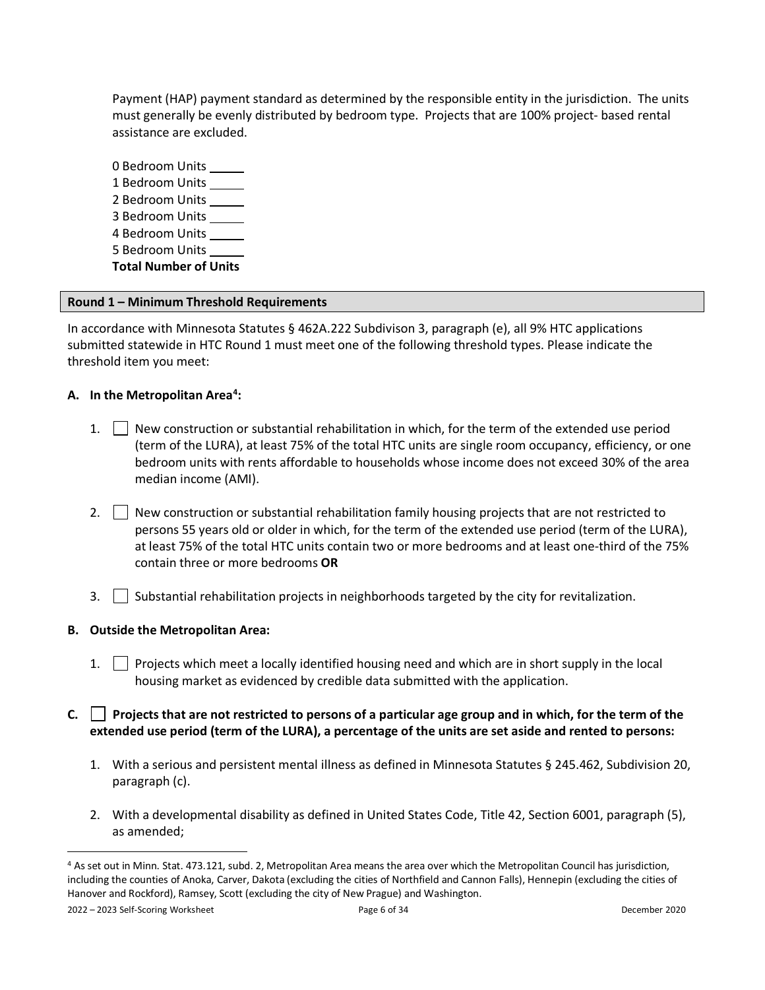Payment (HAP) payment standard as determined by the responsible entity in the jurisdiction. The units must generally be evenly distributed by bedroom type. Projects that are 100% project- based rental assistance are excluded.

0 Bedroom Units 1 Bedroom Units 2 Bedroom Units 3 Bedroom Units 4 Bedroom Units 5 Bedroom Units **Total Number of Units**

#### <span id="page-5-0"></span>**Round 1 – Minimum Threshold Requirements**

In accordance with Minnesota Statutes § 462A.222 Subdivison 3, paragraph (e), all 9% HTC applications submitted statewide in HTC Round 1 must meet one of the following threshold types. Please indicate the threshold item you meet:

### <span id="page-5-1"></span>**A. In the Metropolitan Area[4](#page-5-4) :**

- 1.  $\vert$  New construction or substantial rehabilitation in which, for the term of the extended use period (term of the LURA), at least 75% of the total HTC units are single room occupancy, efficiency, or one bedroom units with rents affordable to households whose income does not exceed 30% of the area median income (AMI).
- 2.  $\Box$  New construction or substantial rehabilitation family housing projects that are not restricted to persons 55 years old or older in which, for the term of the extended use period (term of the LURA), at least 75% of the total HTC units contain two or more bedrooms and at least one-third of the 75% contain three or more bedrooms **OR**
- 3. Substantial rehabilitation projects in neighborhoods targeted by the city for revitalization.

#### <span id="page-5-2"></span>**B. Outside the Metropolitan Area:**

- 1. Projects which meet a locally identified housing need and which are in short supply in the local housing market as evidenced by credible data submitted with the application.
- <span id="page-5-3"></span>**C. Projects that are not restricted to persons of a particular age group and in which, for the term of the extended use period (term of the LURA), a percentage of the units are set aside and rented to persons:**
	- 1. With a serious and persistent mental illness as defined in Minnesota Statutes § 245.462, Subdivision 20, paragraph (c).
	- 2. With a developmental disability as defined in United States Code, Title 42, Section 6001, paragraph (5), as amended;

<span id="page-5-4"></span><sup>4</sup> As set out in Minn. Stat. 473.121, subd. 2, Metropolitan Area means the area over which the Metropolitan Council has jurisdiction, including the counties of Anoka, Carver, Dakota (excluding the cities of Northfield and Cannon Falls), Hennepin (excluding the cities of Hanover and Rockford), Ramsey, Scott (excluding the city of New Prague) and Washington.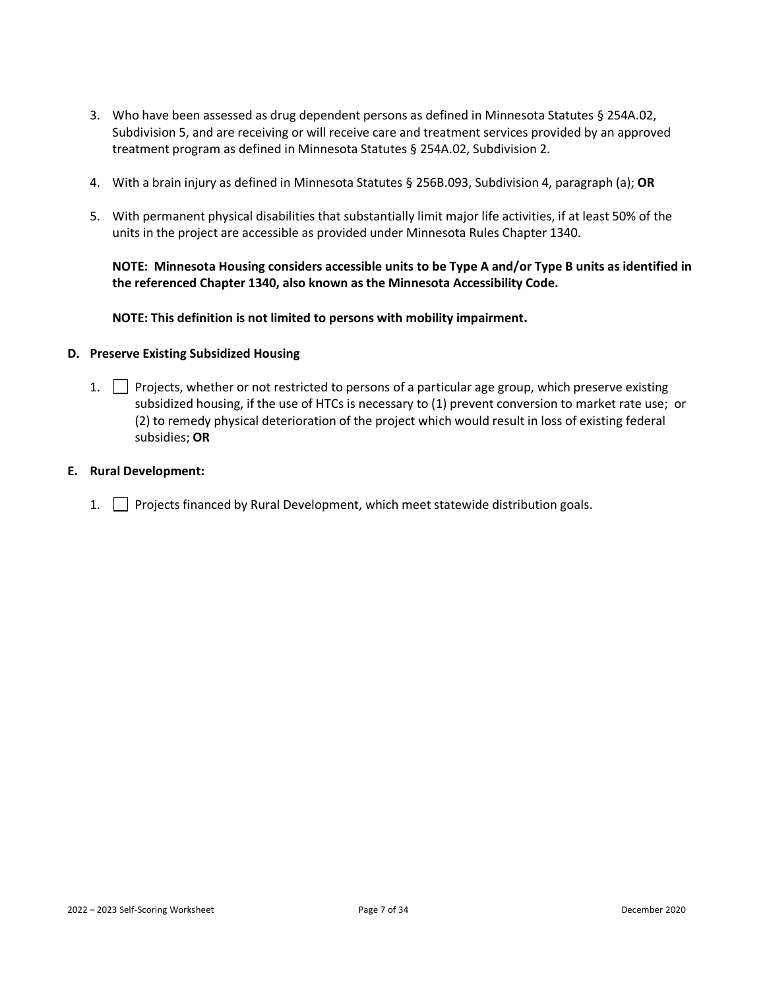- 3. Who have been assessed as drug dependent persons as defined in Minnesota Statutes § 254A.02, Subdivision 5, and are receiving or will receive care and treatment services provided by an approved treatment program as defined in Minnesota Statutes § 254A.02, Subdivision 2.
- 4. With a brain injury as defined in Minnesota Statutes § 256B.093, Subdivision 4, paragraph (a); **OR**
- 5. With permanent physical disabilities that substantially limit major life activities, if at least 50% of the units in the project are accessible as provided under Minnesota Rules Chapter 1340.

**NOTE: Minnesota Housing considers accessible units to be Type A and/or Type B units as identified in the referenced Chapter 1340, also known as the Minnesota Accessibility Code.**

**NOTE: This definition is not limited to persons with mobility impairment.**

#### <span id="page-6-0"></span>**D. Preserve Existing Subsidized Housing**

- 1. Projects, whether or not restricted to persons of a particular age group, which preserve existing subsidized housing, if the use of HTCs is necessary to (1) prevent conversion to market rate use; or (2) to remedy physical deterioration of the project which would result in loss of existing federal subsidies; **OR**
- <span id="page-6-1"></span>**E. Rural Development:**
	- 1. Projects financed by Rural Development, which meet statewide distribution goals.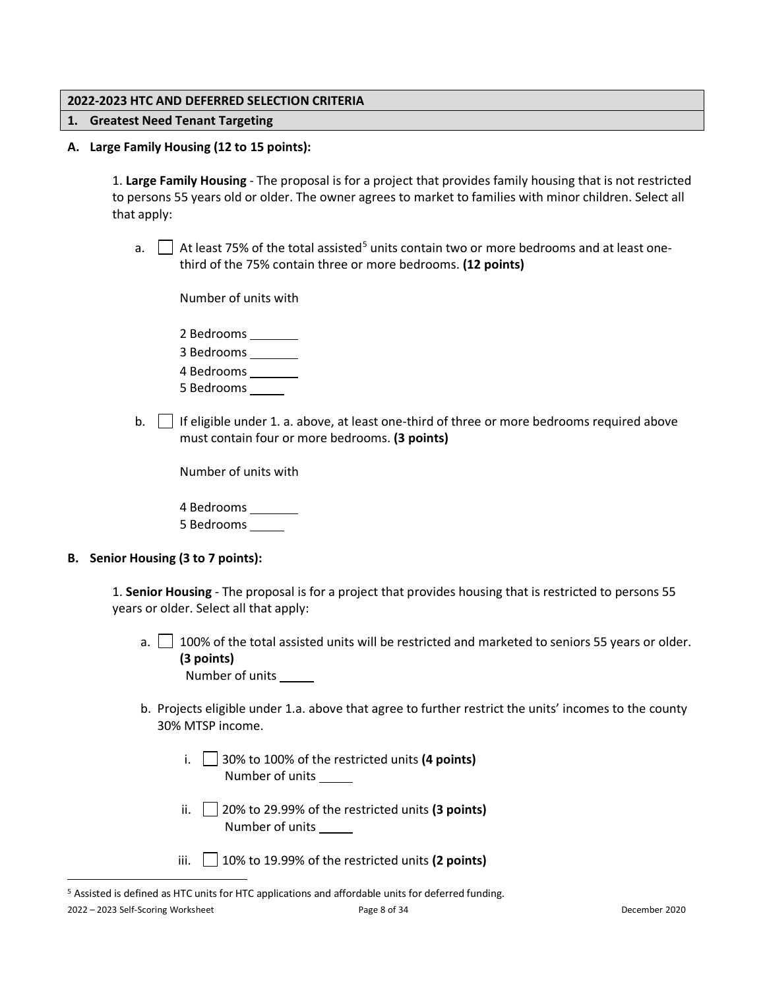#### <span id="page-7-0"></span>**2022-2023 HTC AND DEFERRED SELECTION CRITERIA**

#### <span id="page-7-1"></span>**1. Greatest Need Tenant Targeting**

**A. Large Family Housing (12 to 15 points):**

<span id="page-7-2"></span>1. **Large Family Housing** - The proposal is for a project that provides family housing that is not restricted to persons 55 years old or older. The owner agrees to market to families with minor children. Select all that apply:

a.  $\Box$  At least 7[5](#page-7-4)% of the total assisted<sup>5</sup> units contain two or more bedrooms and at least onethird of the 75% contain three or more bedrooms. **(12 points)**

Number of units with

2 Bedrooms

3 Bedrooms

4 Bedrooms

5 Bedrooms

b. If eligible under 1. a. above, at least one-third of three or more bedrooms required above must contain four or more bedrooms. **(3 points)**

Number of units with

4 Bedrooms 5 Bedrooms

#### <span id="page-7-3"></span>**B. Senior Housing (3 to 7 points):**

1. **Senior Housing** - The proposal is for a project that provides housing that is restricted to persons 55 years or older. Select all that apply:

- a.  $\Box$  100% of the total assisted units will be restricted and marketed to seniors 55 years or older. **(3 points)** Number of units
- b. Projects eligible under 1.a. above that agree to further restrict the units' incomes to the county 30% MTSP income.
	- i. 30% to 100% of the restricted units **(4 points)** Number of units
	- ii.  $\Box$  20% to 29.99% of the restricted units (3 points) Number of units
	- iii. 10% to 19.99% of the restricted units **(2 points)**

<span id="page-7-4"></span><sup>5</sup> Assisted is defined as HTC units for HTC applications and affordable units for deferred funding.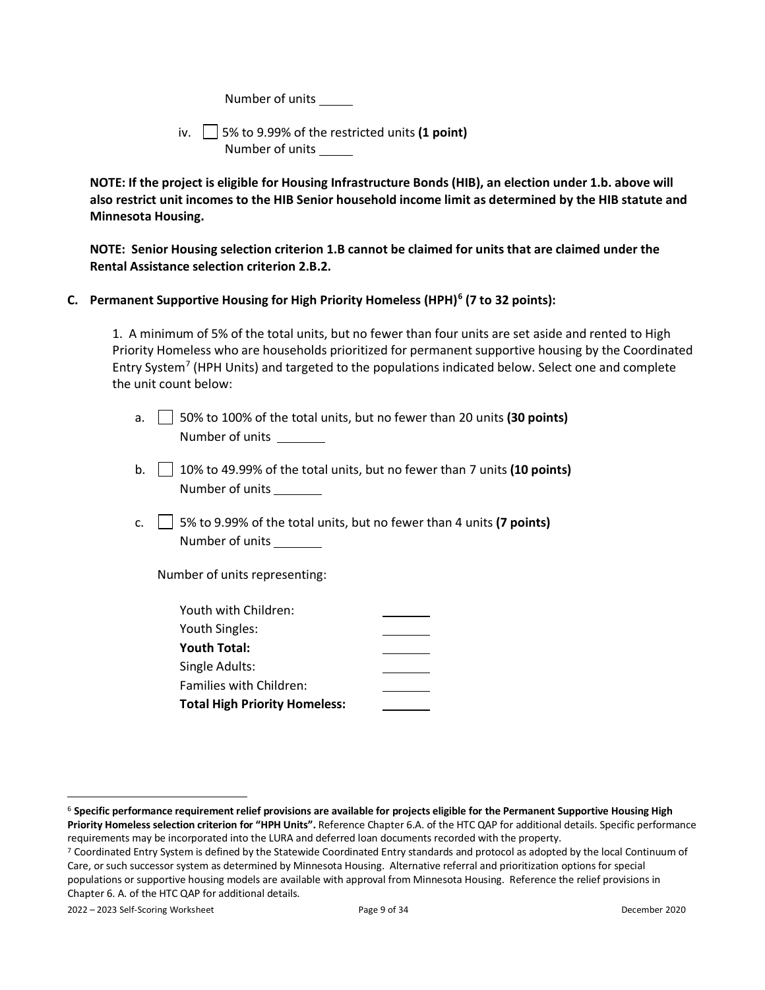Number of units

iv. 5% to 9.99% of the restricted units **(1 point)** Number of units

**NOTE: If the project is eligible for Housing Infrastructure Bonds (HIB), an election under 1.b. above will also restrict unit incomes to the HIB Senior household income limit as determined by the HIB statute and Minnesota Housing.** 

**NOTE: Senior Housing selection criterion 1.B cannot be claimed for units that are claimed under the Rental Assistance selection criterion 2.B.2.**

#### <span id="page-8-0"></span>**C. Permanent Supportive Housing for High Priority Homeless (HPH)[6](#page-8-1) (7 to 32 points):**

1. A minimum of 5% of the total units, but no fewer than four units are set aside and rented to High Priority Homeless who are households prioritized for permanent supportive housing by the Coordinated Entry System<sup>[7](#page-8-2)</sup> (HPH Units) and targeted to the populations indicated below. Select one and complete the unit count below:

- a. 50% to 100% of the total units, but no fewer than 20 units **(30 points)** Number of units
- b. 10% to 49.99% of the total units, but no fewer than 7 units **(10 points)** Number of units
- c.  $\Box$  5% to 9.99% of the total units, but no fewer than 4 units **(7 points)** Number of units

Number of units representing:

| Youth with Children:                 |  |
|--------------------------------------|--|
| Youth Singles:                       |  |
| <b>Youth Total:</b>                  |  |
| Single Adults:                       |  |
| <b>Families with Children:</b>       |  |
| <b>Total High Priority Homeless:</b> |  |

<span id="page-8-1"></span><sup>6</sup> **Specific performance requirement relief provisions are available for projects eligible for the Permanent Supportive Housing High Priority Homeless selection criterion for "HPH Units".** Reference Chapter 6.A. of the HTC QAP for additional details. Specific performance requirements may be incorporated into the LURA and deferred loan documents recorded with the property.

<span id="page-8-2"></span><sup>7</sup> Coordinated Entry System is defined by the Statewide Coordinated Entry standards and protocol as adopted by the local Continuum of Care, or such successor system as determined by Minnesota Housing. Alternative referral and prioritization options for special populations or supportive housing models are available with approval from Minnesota Housing. Reference the relief provisions in Chapter 6. A. of the HTC QAP for additional details.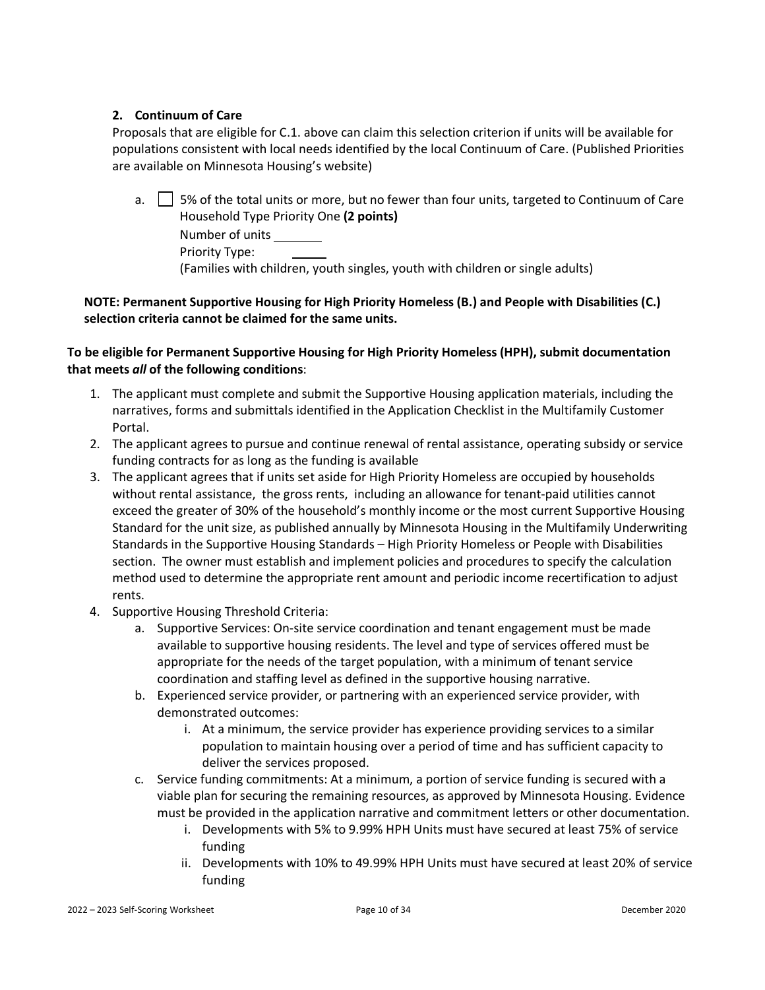#### <span id="page-9-0"></span>**2. Continuum of Care**

Proposals that are eligible for C.1. above can claim this selection criterion if units will be available for populations consistent with local needs identified by the local Continuum of Care. (Published Priorities are available on Minnesota Housing's website)

| a.   5% of the total units or more, but no fewer than four units, targeted to Continuum of Care |
|-------------------------------------------------------------------------------------------------|
| Household Type Priority One (2 points)                                                          |
| Number of units                                                                                 |
| Priority Type:                                                                                  |
| (Families with children, youth singles, youth with children or single adults)                   |

### **NOTE: Permanent Supportive Housing for High Priority Homeless (B.) and People with Disabilities (C.) selection criteria cannot be claimed for the same units.**

### **To be eligible for Permanent Supportive Housing for High Priority Homeless (HPH), submit documentation that meets** *all* **of the following conditions**:

- 1. The applicant must complete and submit the Supportive Housing application materials, including the narratives, forms and submittals identified in the Application Checklist in the Multifamily Customer Portal.
- 2. The applicant agrees to pursue and continue renewal of rental assistance, operating subsidy or service funding contracts for as long as the funding is available
- 3. The applicant agrees that if units set aside for High Priority Homeless are occupied by households without rental assistance, the gross rents, including an allowance for tenant-paid utilities cannot exceed the greater of 30% of the household's monthly income or the most current Supportive Housing Standard for the unit size, as published annually by Minnesota Housing in the Multifamily Underwriting Standards in the Supportive Housing Standards – High Priority Homeless or People with Disabilities section. The owner must establish and implement policies and procedures to specify the calculation method used to determine the appropriate rent amount and periodic income recertification to adjust rents.
- 4. Supportive Housing Threshold Criteria:
	- a. Supportive Services: On-site service coordination and tenant engagement must be made available to supportive housing residents. The level and type of services offered must be appropriate for the needs of the target population, with a minimum of tenant service coordination and staffing level as defined in the supportive housing narrative.
	- b. Experienced service provider, or partnering with an experienced service provider, with demonstrated outcomes:
		- i. At a minimum, the service provider has experience providing services to a similar population to maintain housing over a period of time and has sufficient capacity to deliver the services proposed.
	- c. Service funding commitments: At a minimum, a portion of service funding is secured with a viable plan for securing the remaining resources, as approved by Minnesota Housing. Evidence must be provided in the application narrative and commitment letters or other documentation.
		- i. Developments with 5% to 9.99% HPH Units must have secured at least 75% of service funding
		- ii. Developments with 10% to 49.99% HPH Units must have secured at least 20% of service funding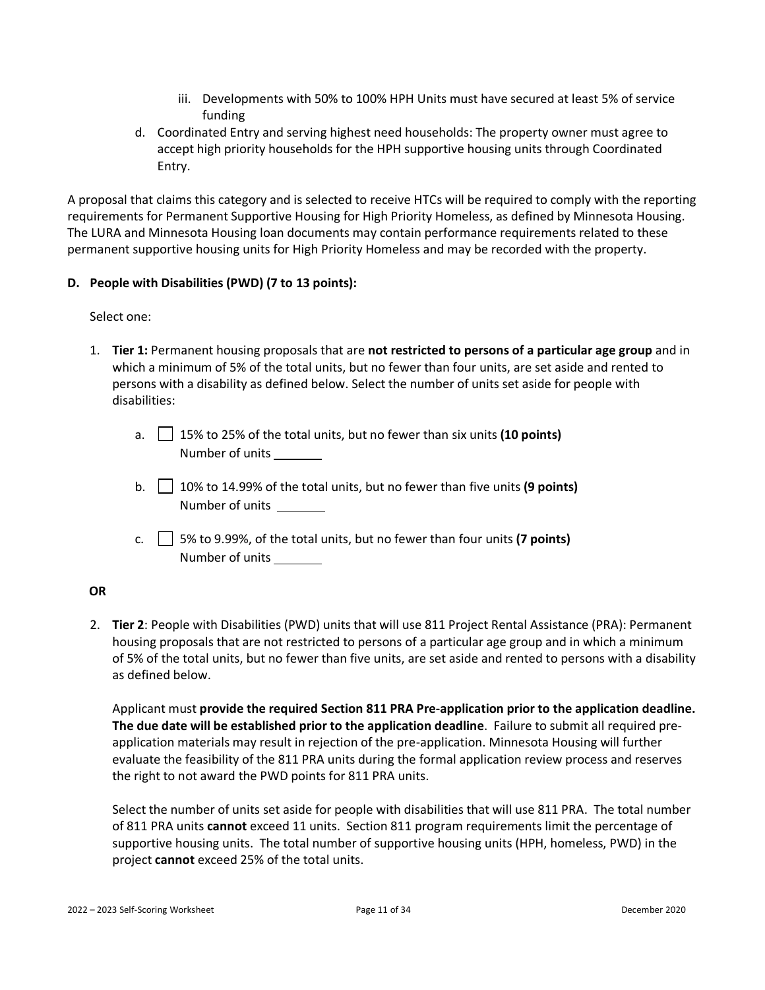- iii. Developments with 50% to 100% HPH Units must have secured at least 5% of service funding
- d. Coordinated Entry and serving highest need households: The property owner must agree to accept high priority households for the HPH supportive housing units through Coordinated Entry.

A proposal that claims this category and is selected to receive HTCs will be required to comply with the reporting requirements for Permanent Supportive Housing for High Priority Homeless, as defined by Minnesota Housing. The LURA and Minnesota Housing loan documents may contain performance requirements related to these permanent supportive housing units for High Priority Homeless and may be recorded with the property.

### <span id="page-10-0"></span>**D. People with Disabilities (PWD) (7 to 13 points):**

### Select one:

- 1. **Tier 1:** Permanent housing proposals that are **not restricted to persons of a particular age group** and in which a minimum of 5% of the total units, but no fewer than four units, are set aside and rented to persons with a disability as defined below. Select the number of units set aside for people with disabilities:
	- a. 15% to 25% of the total units, but no fewer than six units **(10 points)** Number of units
	- b. 10% to 14.99% of the total units, but no fewer than five units **(9 points)** Number of units
	- c.  $\vert$  5% to 9.99%, of the total units, but no fewer than four units **(7 points)** Number of units

### **OR**

2. **Tier 2**: People with Disabilities (PWD) units that will use 811 Project Rental Assistance (PRA): Permanent housing proposals that are not restricted to persons of a particular age group and in which a minimum of 5% of the total units, but no fewer than five units, are set aside and rented to persons with a disability as defined below.

Applicant must **provide the required Section 811 PRA Pre-application prior to the application deadline. The due date will be established prior to the application deadline**. Failure to submit all required preapplication materials may result in rejection of the pre-application. Minnesota Housing will further evaluate the feasibility of the 811 PRA units during the formal application review process and reserves the right to not award the PWD points for 811 PRA units.

Select the number of units set aside for people with disabilities that will use 811 PRA. The total number of 811 PRA units **cannot** exceed 11 units. Section 811 program requirements limit the percentage of supportive housing units. The total number of supportive housing units (HPH, homeless, PWD) in the project **cannot** exceed 25% of the total units.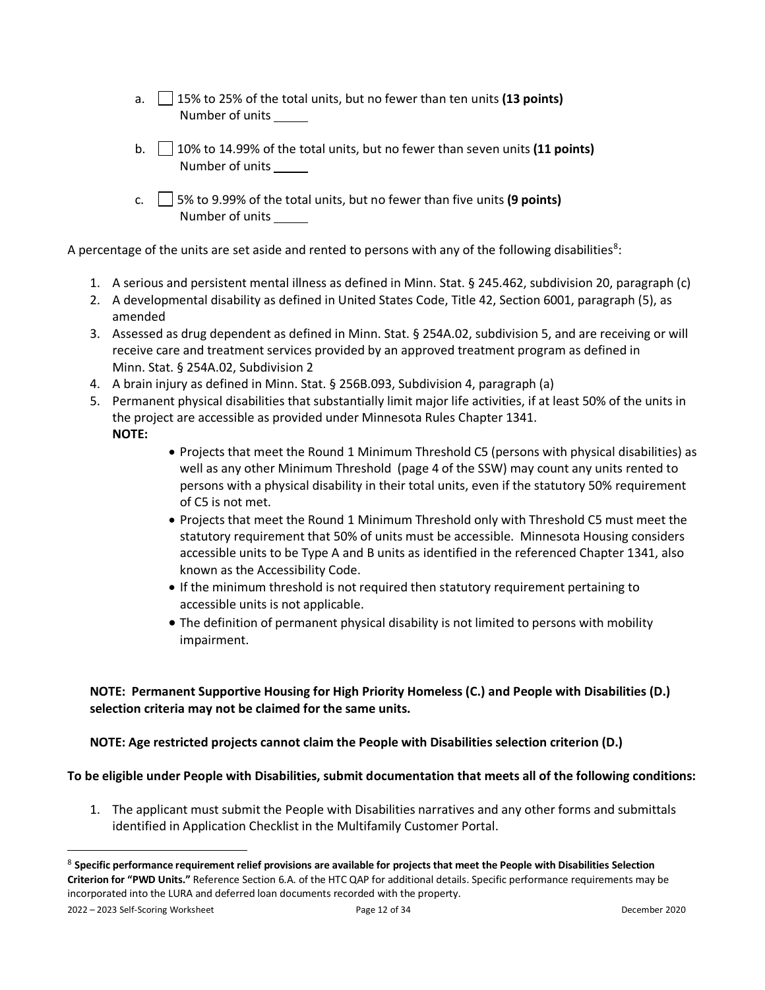- a. 15% to 25% of the total units, but no fewer than ten units **(13 points)** Number of units
- b. 10% to 14.99% of the total units, but no fewer than seven units **(11 points)** Number of units
- c. 5% to 9.99% of the total units, but no fewer than five units **(9 points)** Number of units

A percentage of the units are set aside and rented to persons with any of the following disabilities<sup>[8](#page-11-0)</sup>:

- 1. A serious and persistent mental illness as defined in Minn. Stat. § 245.462, subdivision 20, paragraph (c)
- 2. A developmental disability as defined in United States Code, Title 42, Section 6001, paragraph (5), as amended
- 3. Assessed as drug dependent as defined in Minn. Stat. § 254A.02, subdivision 5, and are receiving or will receive care and treatment services provided by an approved treatment program as defined in Minn. Stat. § 254A.02, Subdivision 2
- 4. A brain injury as defined in Minn. Stat. § 256B.093, Subdivision 4, paragraph (a)
- 5. Permanent physical disabilities that substantially limit major life activities, if at least 50% of the units in the project are accessible as provided under Minnesota Rules Chapter 1341. **NOTE:**
	- Projects that meet the Round 1 Minimum Threshold C5 (persons with physical disabilities) as well as any other Minimum Threshold (page 4 of the SSW) may count any units rented to persons with a physical disability in their total units, even if the statutory 50% requirement of C5 is not met.
	- Projects that meet the Round 1 Minimum Threshold only with Threshold C5 must meet the statutory requirement that 50% of units must be accessible. Minnesota Housing considers accessible units to be Type A and B units as identified in the referenced Chapter 1341, also known as the Accessibility Code.
	- If the minimum threshold is not required then statutory requirement pertaining to accessible units is not applicable.
	- The definition of permanent physical disability is not limited to persons with mobility impairment.

### **NOTE: Permanent Supportive Housing for High Priority Homeless (C.) and People with Disabilities (D.) selection criteria may not be claimed for the same units.**

**NOTE: Age restricted projects cannot claim the People with Disabilities selection criterion (D.)** 

#### **To be eligible under People with Disabilities, submit documentation that meets all of the following conditions:**

1. The applicant must submit the People with Disabilities narratives and any other forms and submittals identified in Application Checklist in the Multifamily Customer Portal.

2022 – 2023 Self-Scoring Worksheet Page 12 of 34 December 2020

<span id="page-11-0"></span><sup>8</sup> **Specific performance requirement relief provisions are available for projects that meet the People with Disabilities Selection Criterion for "PWD Units."** Reference Section 6.A. of the HTC QAP for additional details. Specific performance requirements may be incorporated into the LURA and deferred loan documents recorded with the property.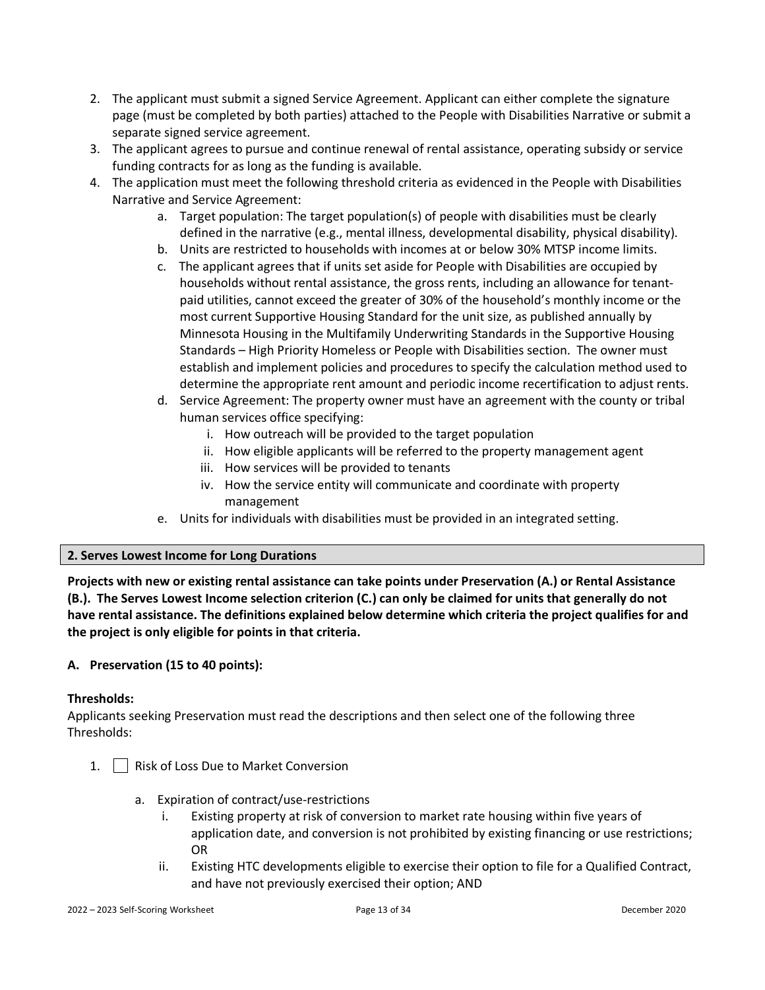- 2. The applicant must submit a signed Service Agreement. Applicant can either complete the signature page (must be completed by both parties) attached to the People with Disabilities Narrative or submit a separate signed service agreement.
- 3. The applicant agrees to pursue and continue renewal of rental assistance, operating subsidy or service funding contracts for as long as the funding is available.
- 4. The application must meet the following threshold criteria as evidenced in the People with Disabilities Narrative and Service Agreement:
	- a. Target population: The target population(s) of people with disabilities must be clearly defined in the narrative (e.g., mental illness, developmental disability, physical disability).
	- b. Units are restricted to households with incomes at or below 30% MTSP income limits.
	- c. The applicant agrees that if units set aside for People with Disabilities are occupied by households without rental assistance, the gross rents, including an allowance for tenantpaid utilities, cannot exceed the greater of 30% of the household's monthly income or the most current Supportive Housing Standard for the unit size, as published annually by Minnesota Housing in the Multifamily Underwriting Standards in the Supportive Housing Standards – High Priority Homeless or People with Disabilities section. The owner must establish and implement policies and procedures to specify the calculation method used to determine the appropriate rent amount and periodic income recertification to adjust rents.
	- d. Service Agreement: The property owner must have an agreement with the county or tribal human services office specifying:
		- i. How outreach will be provided to the target population
		- ii. How eligible applicants will be referred to the property management agent
		- iii. How services will be provided to tenants
		- iv. How the service entity will communicate and coordinate with property management
	- e. Units for individuals with disabilities must be provided in an integrated setting.

#### <span id="page-12-0"></span>**2. Serves Lowest Income for Long Durations**

**Projects with new or existing rental assistance can take points under Preservation (A.) or Rental Assistance (B.). The Serves Lowest Income selection criterion (C.) can only be claimed for units that generally do not have rental assistance. The definitions explained below determine which criteria the project qualifies for and the project is only eligible for points in that criteria.** 

### <span id="page-12-1"></span>**A. Preservation (15 to 40 points):**

#### **Thresholds:**

Applicants seeking Preservation must read the descriptions and then select one of the following three Thresholds:

- 1. | | Risk of Loss Due to Market Conversion
	- a. Expiration of contract/use-restrictions
		- Existing property at risk of conversion to market rate housing within five years of application date, and conversion is not prohibited by existing financing or use restrictions; OR
		- ii. Existing HTC developments eligible to exercise their option to file for a Qualified Contract, and have not previously exercised their option; AND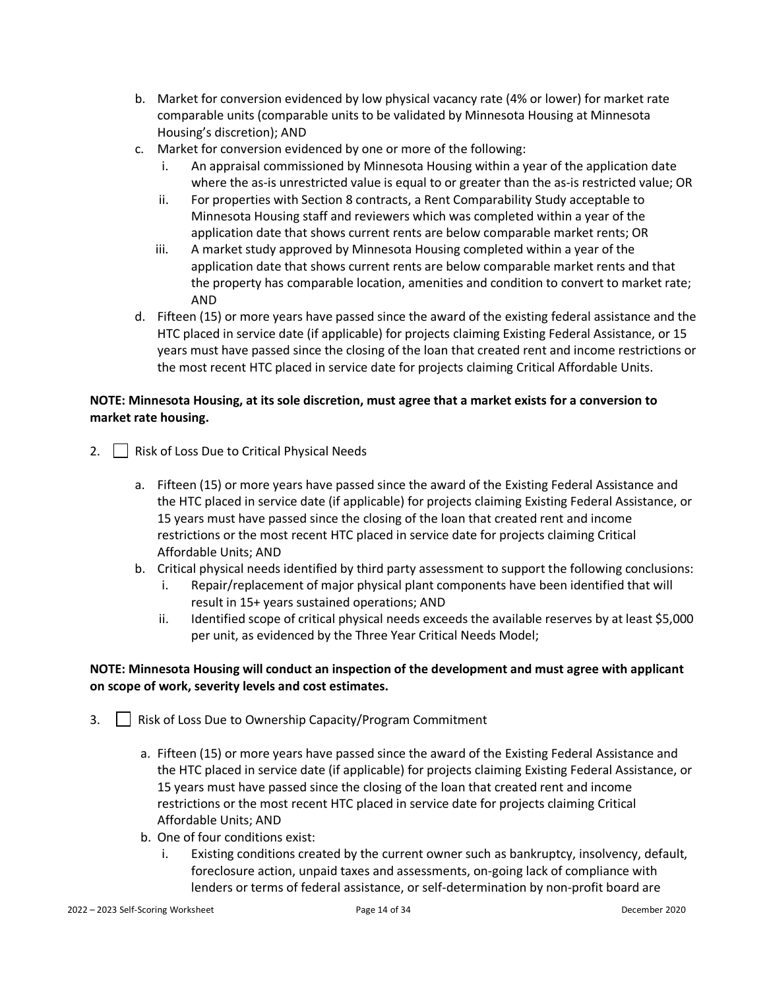- b. Market for conversion evidenced by low physical vacancy rate (4% or lower) for market rate comparable units (comparable units to be validated by Minnesota Housing at Minnesota Housing's discretion); AND
- c. Market for conversion evidenced by one or more of the following:
	- i. An appraisal commissioned by Minnesota Housing within a year of the application date where the as-is unrestricted value is equal to or greater than the as-is restricted value; OR
	- ii. For properties with Section 8 contracts, a Rent Comparability Study acceptable to Minnesota Housing staff and reviewers which was completed within a year of the application date that shows current rents are below comparable market rents; OR
	- iii. A market study approved by Minnesota Housing completed within a year of the application date that shows current rents are below comparable market rents and that the property has comparable location, amenities and condition to convert to market rate; AND
- d. Fifteen (15) or more years have passed since the award of the existing federal assistance and the HTC placed in service date (if applicable) for projects claiming Existing Federal Assistance, or 15 years must have passed since the closing of the loan that created rent and income restrictions or the most recent HTC placed in service date for projects claiming Critical Affordable Units.

### **NOTE: Minnesota Housing, at its sole discretion, must agree that a market exists for a conversion to market rate housing.**

- 2. | Risk of Loss Due to Critical Physical Needs
	- a. Fifteen (15) or more years have passed since the award of the Existing Federal Assistance and the HTC placed in service date (if applicable) for projects claiming Existing Federal Assistance, or 15 years must have passed since the closing of the loan that created rent and income restrictions or the most recent HTC placed in service date for projects claiming Critical Affordable Units; AND
	- b. Critical physical needs identified by third party assessment to support the following conclusions:
		- i. Repair/replacement of major physical plant components have been identified that will result in 15+ years sustained operations; AND
		- ii. Identified scope of critical physical needs exceeds the available reserves by at least \$5,000 per unit, as evidenced by the Three Year Critical Needs Model;

### **NOTE: Minnesota Housing will conduct an inspection of the development and must agree with applicant on scope of work, severity levels and cost estimates.**

- 3. **Herefy Capacity/Program Commitment** 3. **Risk of Loss Due to Ownership Capacity/Program Commitment** 
	- a. Fifteen (15) or more years have passed since the award of the Existing Federal Assistance and the HTC placed in service date (if applicable) for projects claiming Existing Federal Assistance, or 15 years must have passed since the closing of the loan that created rent and income restrictions or the most recent HTC placed in service date for projects claiming Critical Affordable Units; AND
	- b. One of four conditions exist:
		- i. Existing conditions created by the current owner such as bankruptcy, insolvency, default, foreclosure action, unpaid taxes and assessments, on-going lack of compliance with lenders or terms of federal assistance, or self-determination by non-profit board are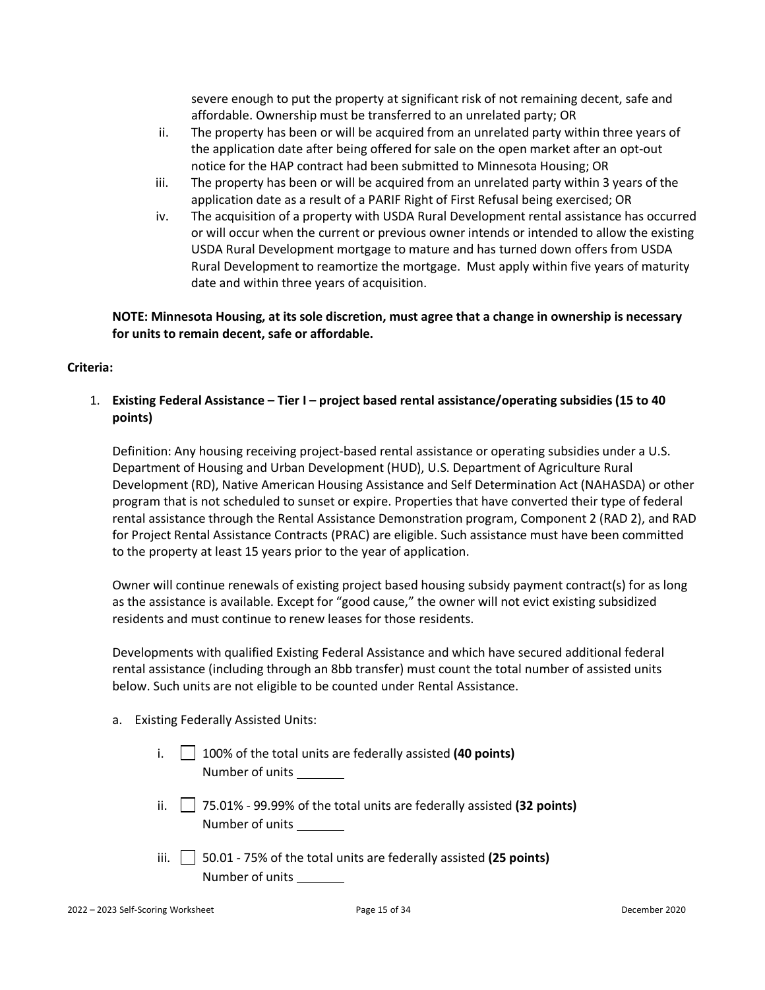severe enough to put the property at significant risk of not remaining decent, safe and affordable. Ownership must be transferred to an unrelated party; OR

- ii. The property has been or will be acquired from an unrelated party within three years of the application date after being offered for sale on the open market after an opt-out notice for the HAP contract had been submitted to Minnesota Housing; OR
- iii. The property has been or will be acquired from an unrelated party within 3 years of the application date as a result of a PARIF Right of First Refusal being exercised; OR
- iv. The acquisition of a property with USDA Rural Development rental assistance has occurred or will occur when the current or previous owner intends or intended to allow the existing USDA Rural Development mortgage to mature and has turned down offers from USDA Rural Development to reamortize the mortgage. Must apply within five years of maturity date and within three years of acquisition.

**NOTE: Minnesota Housing, at its sole discretion, must agree that a change in ownership is necessary for units to remain decent, safe or affordable.**

#### **Criteria:**

### 1. **Existing Federal Assistance – Tier I – project based rental assistance/operating subsidies (15 to 40 points)**

Definition: Any housing receiving project-based rental assistance or operating subsidies under a U.S. Department of Housing and Urban Development (HUD), U.S. Department of Agriculture Rural Development (RD), Native American Housing Assistance and Self Determination Act (NAHASDA) or other program that is not scheduled to sunset or expire. Properties that have converted their type of federal rental assistance through the Rental Assistance Demonstration program, Component 2 (RAD 2), and RAD for Project Rental Assistance Contracts (PRAC) are eligible. Such assistance must have been committed to the property at least 15 years prior to the year of application.

Owner will continue renewals of existing project based housing subsidy payment contract(s) for as long as the assistance is available. Except for "good cause," the owner will not evict existing subsidized residents and must continue to renew leases for those residents.

Developments with qualified Existing Federal Assistance and which have secured additional federal rental assistance (including through an 8bb transfer) must count the total number of assisted units below. Such units are not eligible to be counted under Rental Assistance.

#### a. Existing Federally Assisted Units:

- i.  $|$   $|$  100% of the total units are federally assisted **(40 points)** Number of units
- ii. 75.01% 99.99% of the total units are federally assisted **(32 points)** Number of units
- iii. 50.01 75% of the total units are federally assisted **(25 points)** Number of units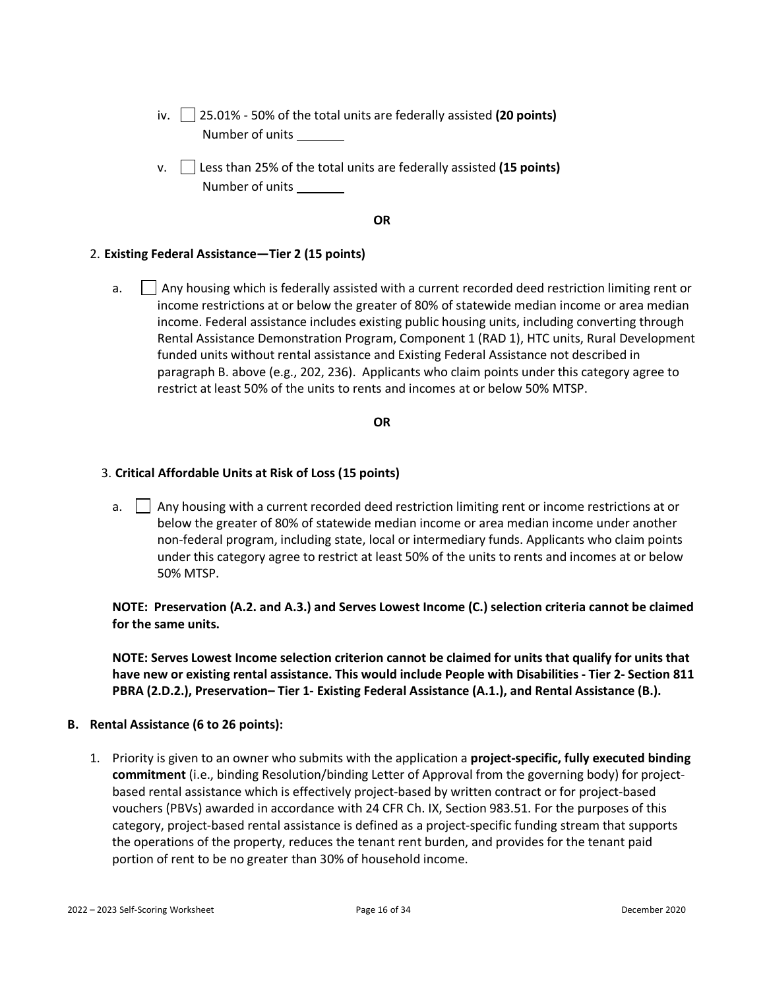- iv. 25.01% 50% of the total units are federally assisted **(20 points)** Number of units
- v. | Less than 25% of the total units are federally assisted (15 points) Number of units

#### **OR**

#### 2. **Existing Federal Assistance—Tier 2 (15 points)**

a.  $\Box$  Any housing which is federally assisted with a current recorded deed restriction limiting rent or income restrictions at or below the greater of 80% of statewide median income or area median income. Federal assistance includes existing public housing units, including converting through Rental Assistance Demonstration Program, Component 1 (RAD 1), HTC units, Rural Development funded units without rental assistance and Existing Federal Assistance not described in paragraph B. above (e.g., 202, 236). Applicants who claim points under this category agree to restrict at least 50% of the units to rents and incomes at or below 50% MTSP.

#### **OR**

#### 3. **Critical Affordable Units at Risk of Loss (15 points)**

a.  $\Box$  Any housing with a current recorded deed restriction limiting rent or income restrictions at or below the greater of 80% of statewide median income or area median income under another non-federal program, including state, local or intermediary funds. Applicants who claim points under this category agree to restrict at least 50% of the units to rents and incomes at or below 50% MTSP.

### **NOTE: Preservation (A.2. and A.3.) and Serves Lowest Income (C.) selection criteria cannot be claimed for the same units.**

**NOTE: Serves Lowest Income selection criterion cannot be claimed for units that qualify for units that have new or existing rental assistance. This would include People with Disabilities - Tier 2- Section 811 PBRA (2.D.2.), Preservation– Tier 1- Existing Federal Assistance (A.1.), and Rental Assistance (B.).** 

#### <span id="page-15-0"></span>**B. Rental Assistance (6 to 26 points):**

1. Priority is given to an owner who submits with the application a **project-specific, fully executed binding commitment** (i.e., binding Resolution/binding Letter of Approval from the governing body) for projectbased rental assistance which is effectively project-based by written contract or for project-based vouchers (PBVs) awarded in accordance with 24 CFR Ch. IX, Section 983.51. For the purposes of this category, project-based rental assistance is defined as a project-specific funding stream that supports the operations of the property, reduces the tenant rent burden, and provides for the tenant paid portion of rent to be no greater than 30% of household income.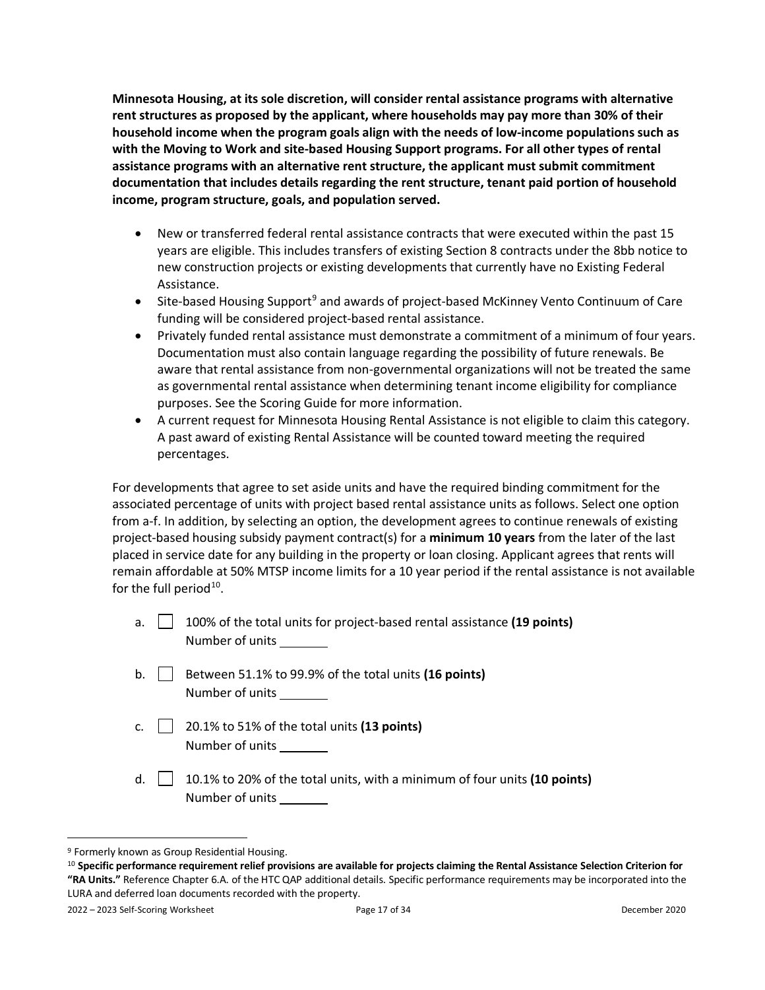**Minnesota Housing, at its sole discretion, will consider rental assistance programs with alternative rent structures as proposed by the applicant, where households may pay more than 30% of their household income when the program goals align with the needs of low-income populations such as with the Moving to Work and site-based Housing Support programs. For all other types of rental assistance programs with an alternative rent structure, the applicant must submit commitment documentation that includes details regarding the rent structure, tenant paid portion of household income, program structure, goals, and population served.**

- New or transferred federal rental assistance contracts that were executed within the past 15 years are eligible. This includes transfers of existing Section 8 contracts under the 8bb notice to new construction projects or existing developments that currently have no Existing Federal Assistance.
- Site-based Housing Support<sup>[9](#page-16-0)</sup> and awards of project-based McKinney Vento Continuum of Care funding will be considered project-based rental assistance.
- Privately funded rental assistance must demonstrate a commitment of a minimum of four years. Documentation must also contain language regarding the possibility of future renewals. Be aware that rental assistance from non-governmental organizations will not be treated the same as governmental rental assistance when determining tenant income eligibility for compliance purposes. See the Scoring Guide for more information.
- A current request for Minnesota Housing Rental Assistance is not eligible to claim this category. A past award of existing Rental Assistance will be counted toward meeting the required percentages.

For developments that agree to set aside units and have the required binding commitment for the associated percentage of units with project based rental assistance units as follows. Select one option from a-f. In addition, by selecting an option, the development agrees to continue renewals of existing project-based housing subsidy payment contract(s) for a **minimum 10 years** from the later of the last placed in service date for any building in the property or loan closing. Applicant agrees that rents will remain affordable at 50% MTSP income limits for a 10 year period if the rental assistance is not available for the full period $10$ .

- a. 100% of the total units for project-based rental assistance **(19 points)** Number of units
- b. Between 51.1% to 99.9% of the total units **(16 points)** Number of units
- c.  $\vert$  20.1% to 51% of the total units (13 points) Number of units
- d. 10.1% to 20% of the total units, with a minimum of four units **(10 points)** Number of units

<span id="page-16-0"></span><sup>9</sup> Formerly known as Group Residential Housing.

<span id="page-16-1"></span><sup>10</sup> **Specific performance requirement relief provisions are available for projects claiming the Rental Assistance Selection Criterion for "RA Units."** Reference Chapter 6.A. of the HTC QAP additional details. Specific performance requirements may be incorporated into the LURA and deferred loan documents recorded with the property.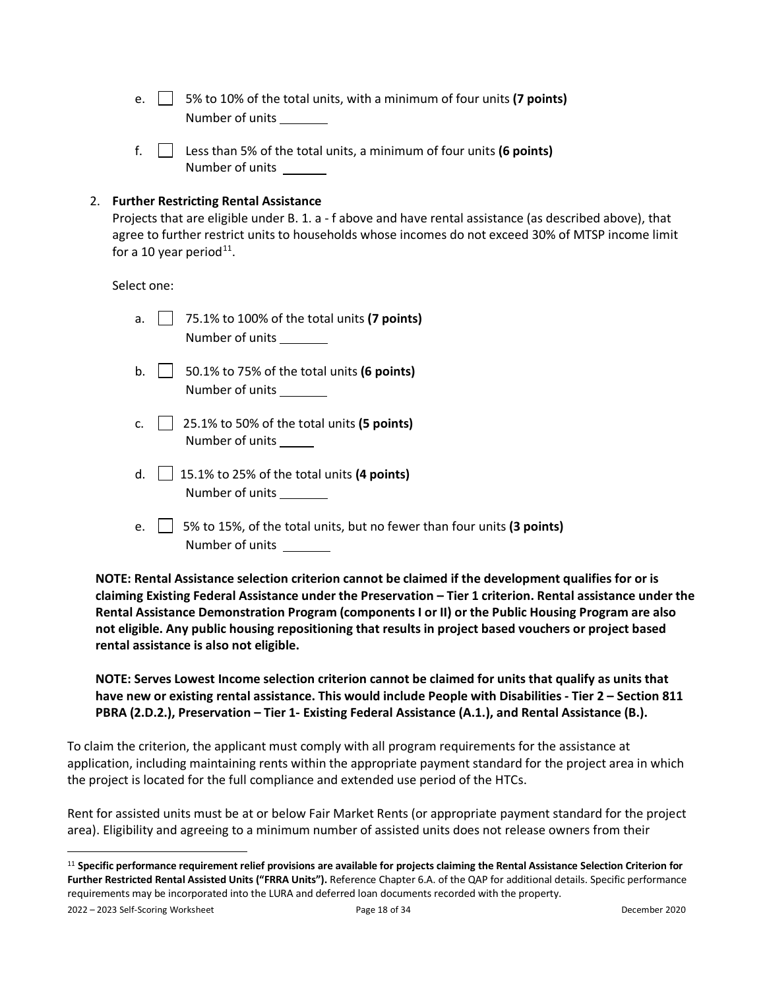- e.  $\vert \vert$  5% to 10% of the total units, with a minimum of four units (**7 points**) Number of units
- f. Less than 5% of the total units, a minimum of four units **(6 points)** Number of units

#### <span id="page-17-0"></span>2. **Further Restricting Rental Assistance**

Projects that are eligible under B. 1. a - f above and have rental assistance (as described above), that agree to further restrict units to households whose incomes do not exceed 30% of MTSP income limit for a 10 year period $^{11}$ .

Select one:

| a. | 75.1% to 100% of the total units (7 points)<br>Number of units                            |
|----|-------------------------------------------------------------------------------------------|
| b. | 50.1% to 75% of the total units (6 points)<br>Number of units                             |
| C. | 25.1% to 50% of the total units (5 points)<br>Number of units                             |
| d. | 15.1% to 25% of the total units (4 points)<br>Number of units                             |
| e. | 5% to 15%, of the total units, but no fewer than four units (3 points)<br>Number of units |

**NOTE: Rental Assistance selection criterion cannot be claimed if the development qualifies for or is claiming Existing Federal Assistance under the Preservation – Tier 1 criterion. Rental assistance under the Rental Assistance Demonstration Program (components I or II) or the Public Housing Program are also not eligible. Any public housing repositioning that results in project based vouchers or project based rental assistance is also not eligible.**

**NOTE: Serves Lowest Income selection criterion cannot be claimed for units that qualify as units that have new or existing rental assistance. This would include People with Disabilities - Tier 2 – Section 811 PBRA (2.D.2.), Preservation – Tier 1- Existing Federal Assistance (A.1.), and Rental Assistance (B.).**

To claim the criterion, the applicant must comply with all program requirements for the assistance at application, including maintaining rents within the appropriate payment standard for the project area in which the project is located for the full compliance and extended use period of the HTCs.

Rent for assisted units must be at or below Fair Market Rents (or appropriate payment standard for the project area). Eligibility and agreeing to a minimum number of assisted units does not release owners from their

<span id="page-17-1"></span><sup>11</sup> **Specific performance requirement relief provisions are available for projects claiming the Rental Assistance Selection Criterion for Further Restricted Rental Assisted Units ("FRRA Units").** Reference Chapter 6.A. of the QAP for additional details. Specific performance requirements may be incorporated into the LURA and deferred loan documents recorded with the property.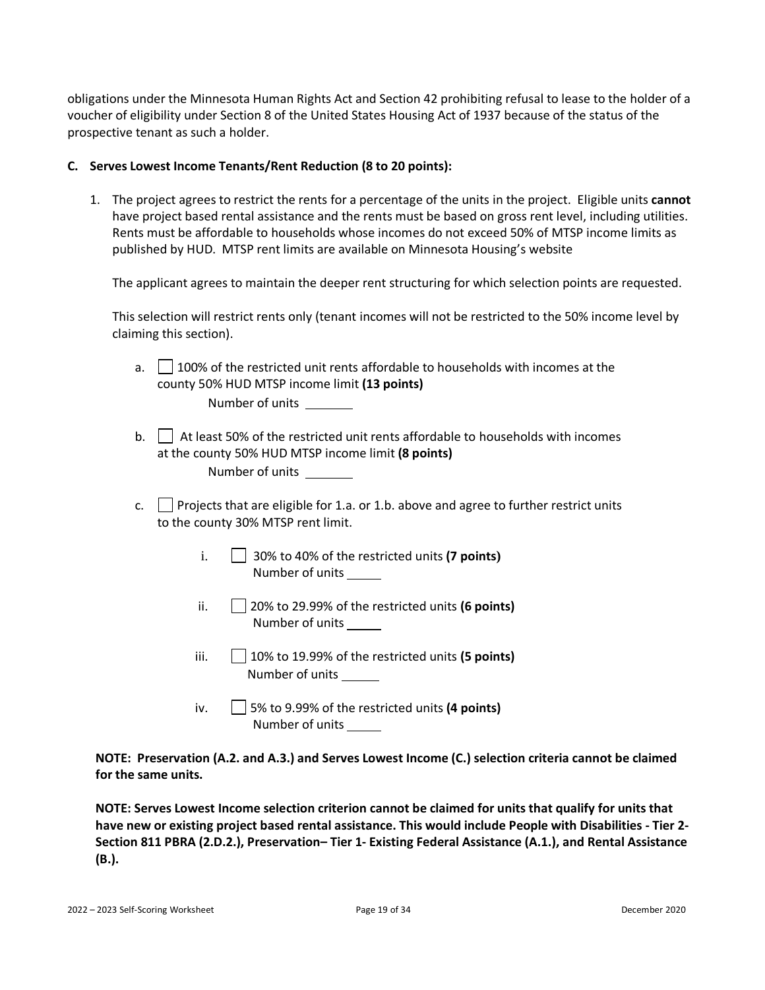obligations under the Minnesota Human Rights Act and Section 42 prohibiting refusal to lease to the holder of a voucher of eligibility under Section 8 of the United States Housing Act of 1937 because of the status of the prospective tenant as such a holder.

#### <span id="page-18-0"></span>**C. Serves Lowest Income Tenants/Rent Reduction (8 to 20 points):**

1. The project agrees to restrict the rents for a percentage of the units in the project. Eligible units **cannot** have project based rental assistance and the rents must be based on gross rent level, including utilities. Rents must be affordable to households whose incomes do not exceed 50% of MTSP income limits as published by HUD. MTSP rent limits are available on Minnesota Housing's website

The applicant agrees to maintain the deeper rent structuring for which selection points are requested.

This selection will restrict rents only (tenant incomes will not be restricted to the 50% income level by claiming this section).

- a. 100% of the restricted unit rents affordable to households with incomes at the county 50% HUD MTSP income limit **(13 points)** Number of units
- b.  $\Box$  At least 50% of the restricted unit rents affordable to households with incomes at the county 50% HUD MTSP income limit **(8 points)** Number of units
- c.  $\Box$  Projects that are eligible for 1.a. or 1.b. above and agree to further restrict units to the county 30% MTSP rent limit.
	- i. 30% to 40% of the restricted units **(7 points)** Number of units
	- ii. 20% to 29.99% of the restricted units **(6 points)** Number of units
	- iii. 10% to 19.99% of the restricted units **(5 points)** Number of units
	- iv. 5% to 9.99% of the restricted units **(4 points)** Number of units

**NOTE: Preservation (A.2. and A.3.) and Serves Lowest Income (C.) selection criteria cannot be claimed for the same units.** 

**NOTE: Serves Lowest Income selection criterion cannot be claimed for units that qualify for units that have new or existing project based rental assistance. This would include People with Disabilities - Tier 2- Section 811 PBRA (2.D.2.), Preservation– Tier 1- Existing Federal Assistance (A.1.), and Rental Assistance (B.).**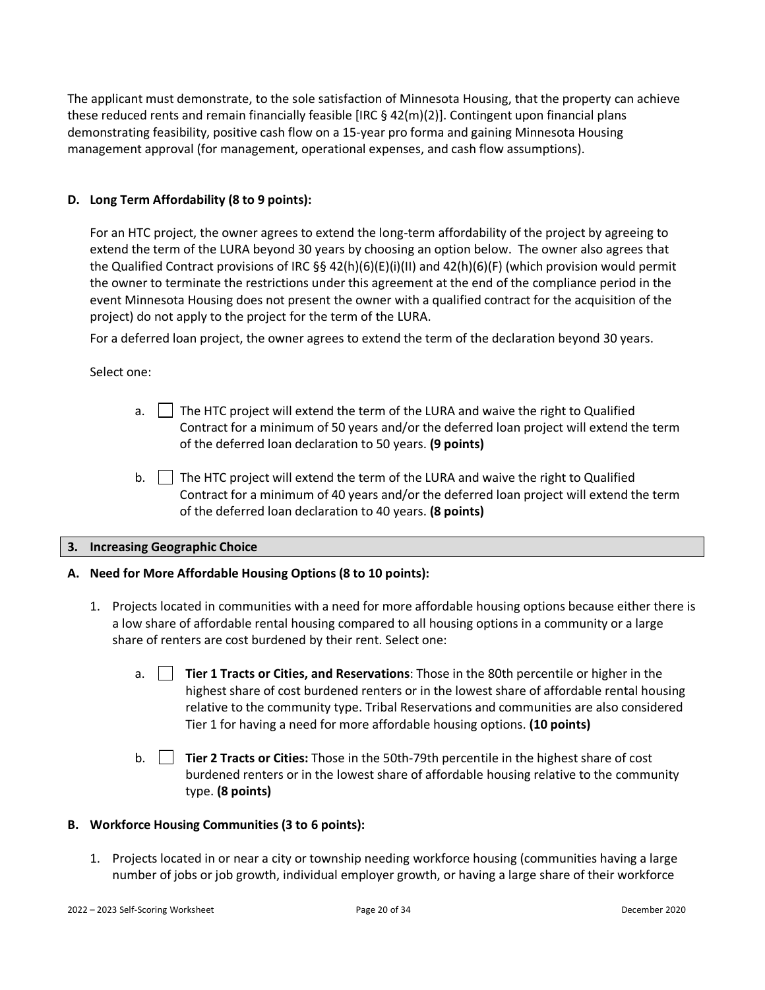The applicant must demonstrate, to the sole satisfaction of Minnesota Housing, that the property can achieve these reduced rents and remain financially feasible [IRC § 42(m)(2)]. Contingent upon financial plans demonstrating feasibility, positive cash flow on a 15-year pro forma and gaining Minnesota Housing management approval (for management, operational expenses, and cash flow assumptions).

### <span id="page-19-0"></span>**D. Long Term Affordability (8 to 9 points):**

For an HTC project, the owner agrees to extend the long-term affordability of the project by agreeing to extend the term of the LURA beyond 30 years by choosing an option below. The owner also agrees that the Qualified Contract provisions of IRC §§ 42(h)(6)(E)(i)(II) and 42(h)(6)(F) (which provision would permit the owner to terminate the restrictions under this agreement at the end of the compliance period in the event Minnesota Housing does not present the owner with a qualified contract for the acquisition of the project) do not apply to the project for the term of the LURA.

For a deferred loan project, the owner agrees to extend the term of the declaration beyond 30 years.

Select one:

- a. The HTC project will extend the term of the LURA and waive the right to Qualified Contract for a minimum of 50 years and/or the deferred loan project will extend the term of the deferred loan declaration to 50 years. **(9 points)**
- b.  $\Box$  The HTC project will extend the term of the LURA and waive the right to Qualified Contract for a minimum of 40 years and/or the deferred loan project will extend the term of the deferred loan declaration to 40 years. **(8 points)**

#### <span id="page-19-1"></span>**3. Increasing Geographic Choice**

- <span id="page-19-2"></span>**A. Need for More Affordable Housing Options (8 to 10 points):**
	- 1. Projects located in communities with a need for more affordable housing options because either there is a low share of affordable rental housing compared to all housing options in a community or a large share of renters are cost burdened by their rent. Select one:
		- a. **Tier 1 Tracts or Cities, and Reservations**: Those in the 80th percentile or higher in the highest share of cost burdened renters or in the lowest share of affordable rental housing relative to the community type. Tribal Reservations and communities are also considered Tier 1 for having a need for more affordable housing options. **(10 points)**
		- b. **Tier 2 Tracts or Cities:** Those in the 50th-79th percentile in the highest share of cost burdened renters or in the lowest share of affordable housing relative to the community type. **(8 points)**

#### <span id="page-19-3"></span>**B. Workforce Housing Communities (3 to 6 points):**

1. Projects located in or near a city or township needing workforce housing (communities having a large number of jobs or job growth, individual employer growth, or having a large share of their workforce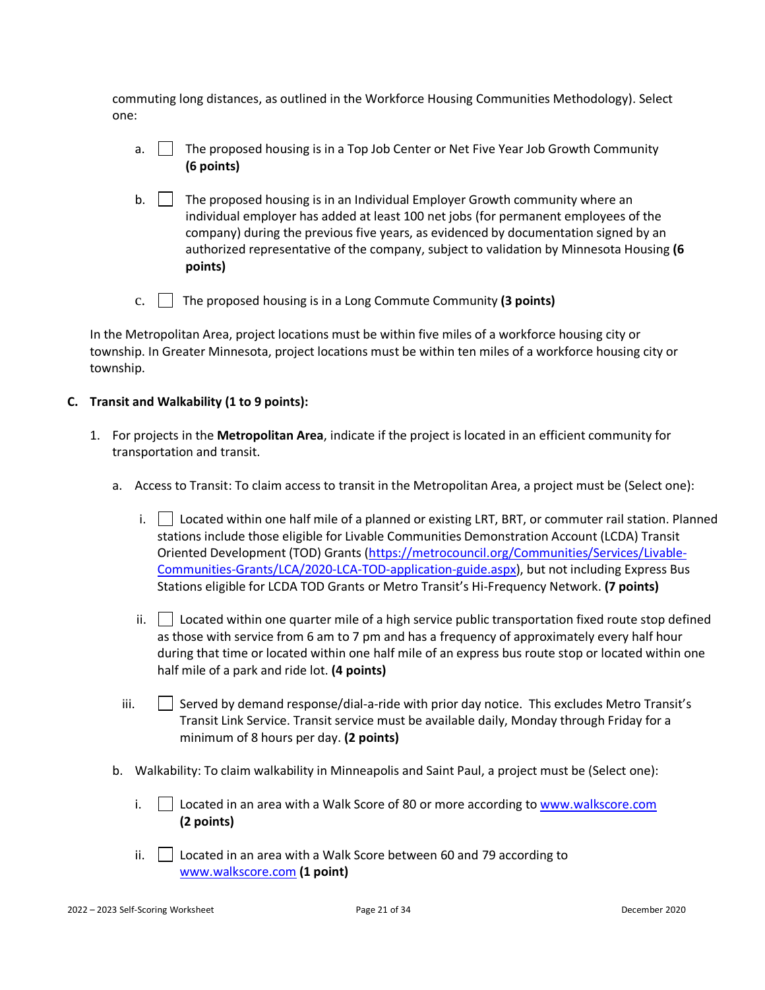commuting long distances, as outlined in the Workforce Housing Communities Methodology). Select one:

- a. **The proposed housing is in a Top Job Center or Net Five Year Job Growth Community (6 points)**
- $b.$  The proposed housing is in an Individual Employer Growth community where an individual employer has added at least 100 net jobs (for permanent employees of the company) during the previous five years, as evidenced by documentation signed by an authorized representative of the company, subject to validation by Minnesota Housing **(6 points)**
- c. The proposed housing is in a Long Commute Community **(3 points)**

In the Metropolitan Area, project locations must be within five miles of a workforce housing city or township. In Greater Minnesota, project locations must be within ten miles of a workforce housing city or township.

### <span id="page-20-0"></span>**C. Transit and Walkability (1 to 9 points):**

- <span id="page-20-1"></span>1. For projects in the **Metropolitan Area**, indicate if the project is located in an efficient community for transportation and transit.
	- a. Access to Transit: To claim access to transit in the Metropolitan Area, a project must be (Select one):
		- i.  $\Box$  Located within one half mile of a planned or existing LRT, BRT, or commuter rail station. Planned stations include those eligible for Livable Communities Demonstration Account (LCDA) Transit Oriented Development (TOD) Grants [\(https://metrocouncil.org/Communities/Services/Livable-](https://metrocouncil.org/Communities/Services/Livable-Communities-Grants/LCA/2020-LCA-TOD-application-guide.aspx)[Communities-Grants/LCA/2020-LCA-TOD-application-guide.aspx\)](https://metrocouncil.org/Communities/Services/Livable-Communities-Grants/LCA/2020-LCA-TOD-application-guide.aspx), but not including Express Bus Stations eligible for LCDA TOD Grants or Metro Transit's Hi-Frequency Network. **(7 points)**
		- ii.  $\vert$  Located within one quarter mile of a high service public transportation fixed route stop defined as those with service from 6 am to 7 pm and has a frequency of approximately every half hour during that time or located within one half mile of an express bus route stop or located within one half mile of a park and ride lot. **(4 points)**
		- iii. Served by demand response/dial-a-ride with prior day notice. This excludes Metro Transit's Transit Link Service. Transit service must be available daily, Monday through Friday for a minimum of 8 hours per day. **(2 points)**
	- b. Walkability: To claim walkability in Minneapolis and Saint Paul, a project must be (Select one):
		- i.  $\Box$  Located in an area with a Walk Score of 80 or more according t[o www.walkscore.com](http://www.walkscore.com/) **(2 points)**
		- ii.  $\Box$  Located in an area with a Walk Score between 60 and 79 according to [www.walkscore.com](http://www.walkscore.com/) **(1 point)**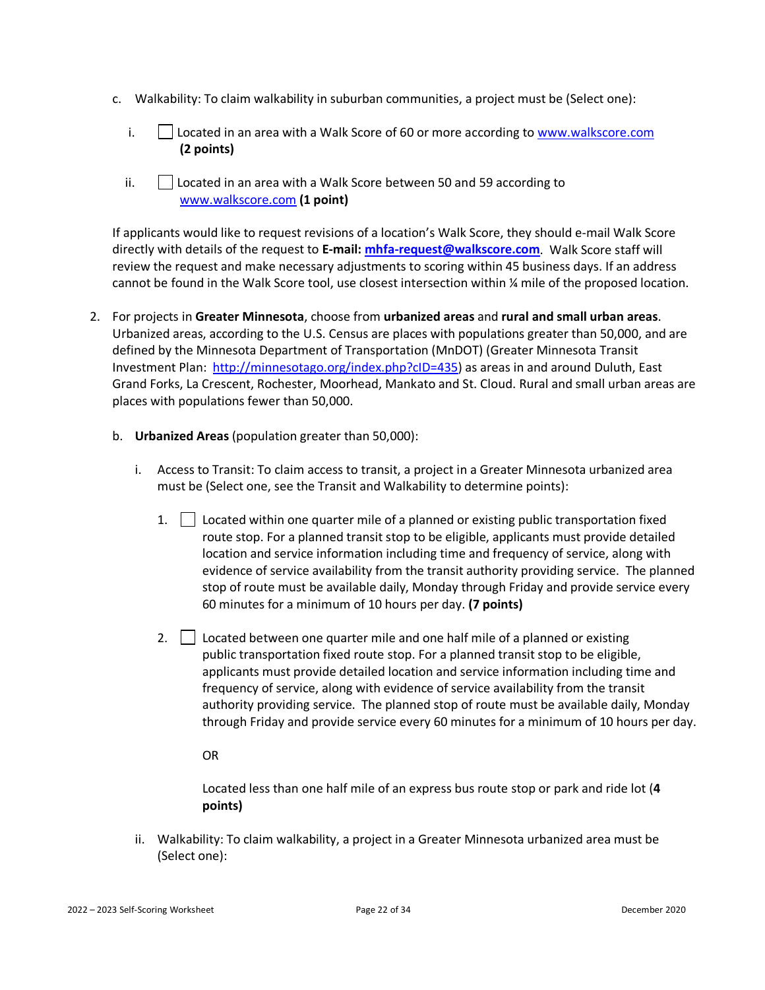- c. Walkability: To claim walkability in suburban communities, a project must be (Select one):
	- i.  $\vert$  Located in an area with a Walk Score of 60 or more according to [www.walkscore.com](http://www.walkscore.com/) **(2 points)**
	- ii. Located in an area with a Walk Score between 50 and 59 according to [www.walkscore.com](http://www.walkscore.com/) **(1 point)**

If applicants would like to request revisions of a location's Walk Score, they should e-mail Walk Score directly with details of the request to **E-mail: [mhfa-request@walkscore.com](mailto:mhfa-request@walkscore.com)**. Walk Score staff will review the request and make necessary adjustments to scoring within 45 business days. If an address cannot be found in the Walk Score tool, use closest intersection within ¼ mile of the proposed location.

- <span id="page-21-0"></span>2. For projects in **Greater Minnesota**, choose from **urbanized areas** and **rural and small urban areas**. Urbanized areas, according to the U.S. Census are places with populations greater than 50,000, and are defined by the Minnesota Department of Transportation (MnDOT) (Greater Minnesota Transit Investment Plan: [http://minnesotago.org/index.php?cID=435\)](http://minnesotago.org/index.php?cID=435) as areas in and around Duluth, East Grand Forks, La Crescent, Rochester, Moorhead, Mankato and St. Cloud. Rural and small urban areas are places with populations fewer than 50,000.
	- b. **Urbanized Areas** (population greater than 50,000):
		- i. Access to Transit: To claim access to transit, a project in a Greater Minnesota urbanized area must be (Select one, see the Transit and Walkability to determine points):
			- 1.  $\Box$  Located within one quarter mile of a planned or existing public transportation fixed route stop. For a planned transit stop to be eligible, applicants must provide detailed location and service information including time and frequency of service, along with evidence of service availability from the transit authority providing service. The planned stop of route must be available daily, Monday through Friday and provide service every 60 minutes for a minimum of 10 hours per day. **(7 points)**
			- 2.  $\Box$  Located between one quarter mile and one half mile of a planned or existing public transportation fixed route stop. For a planned transit stop to be eligible, applicants must provide detailed location and service information including time and frequency of service, along with evidence of service availability from the transit authority providing service. The planned stop of route must be available daily, Monday through Friday and provide service every 60 minutes for a minimum of 10 hours per day.

### OR

Located less than one half mile of an express bus route stop or park and ride lot (**4 points)**

ii. Walkability: To claim walkability, a project in a Greater Minnesota urbanized area must be (Select one):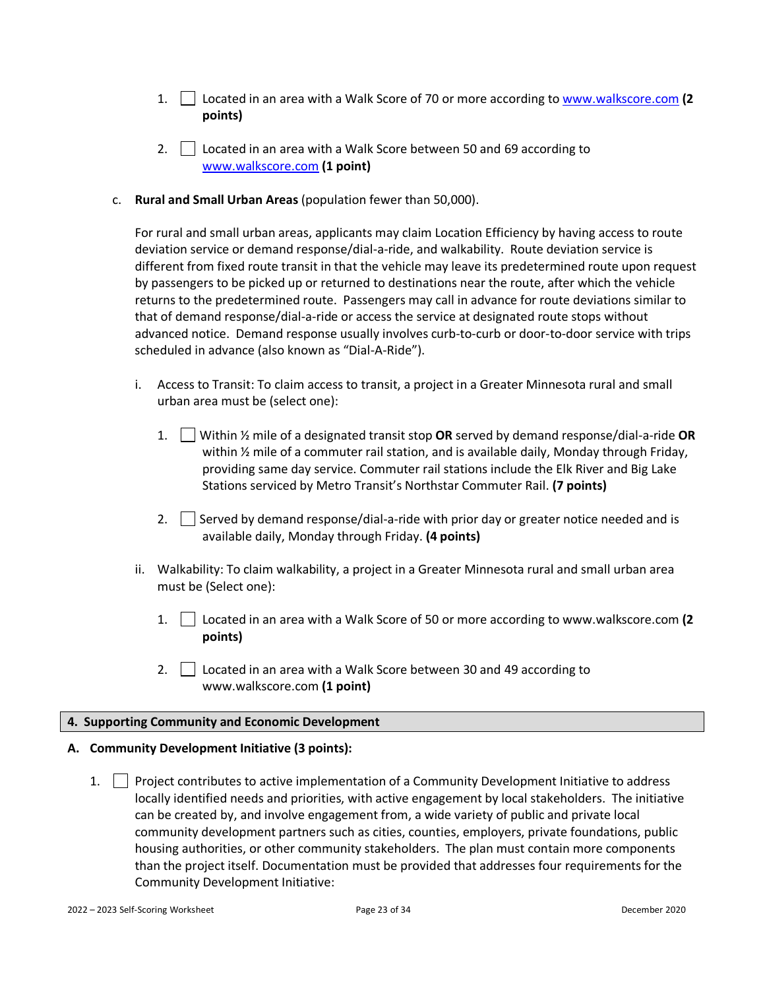- 1. Located in an area with a Walk Score of 70 or more according t[o www.walkscore.com](http://www.walkscore.com/) **(2 points)**
- 2.  $\Box$  Located in an area with a Walk Score between 50 and 69 according to [www.walkscore.com](http://www.walkscore.com/) **(1 point)**
- <span id="page-22-0"></span>c. **Rural and Small Urban Areas** (population fewer than 50,000).

For rural and small urban areas, applicants may claim Location Efficiency by having access to route deviation service or demand response/dial-a-ride, and walkability. Route deviation service is different from fixed route transit in that the vehicle may leave its predetermined route upon request by passengers to be picked up or returned to destinations near the route, after which the vehicle returns to the predetermined route. Passengers may call in advance for route deviations similar to that of demand response/dial-a-ride or access the service at designated route stops without advanced notice. Demand response usually involves curb-to-curb or door-to-door service with trips scheduled in advance (also known as "Dial-A-Ride").

- i. Access to Transit: To claim access to transit, a project in a Greater Minnesota rural and small urban area must be (select one):
	- 1. Within ½ mile of a designated transit stop **OR** served by demand response/dial-a-ride **OR** within 1/2 mile of a commuter rail station, and is available daily, Monday through Friday, providing same day service. Commuter rail stations include the Elk River and Big Lake Stations serviced by Metro Transit's Northstar Commuter Rail. **(7 points)**
	- 2.  $\Box$  Served by demand response/dial-a-ride with prior day or greater notice needed and is available daily, Monday through Friday. **(4 points)**
- ii. Walkability: To claim walkability, a project in a Greater Minnesota rural and small urban area must be (Select one):
	- 1. Located in an area with a Walk Score of 50 or more according t[o www.walkscore.com](http://www.walkscore.com/) **(2 points)**
	- 2.  $\vert$  Located in an area with a Walk Score between 30 and 49 according to [www.walkscore.com](http://www.walkscore.com/) **(1 point)**

#### <span id="page-22-1"></span>**4. Supporting Community and Economic Development**

#### <span id="page-22-2"></span>**A. Community Development Initiative (3 points):**

1. Project contributes to active implementation of a Community Development Initiative to address locally identified needs and priorities, with active engagement by local stakeholders. The initiative can be created by, and involve engagement from, a wide variety of public and private local community development partners such as cities, counties, employers, private foundations, public housing authorities, or other community stakeholders. The plan must contain more components than the project itself. Documentation must be provided that addresses four requirements for the Community Development Initiative: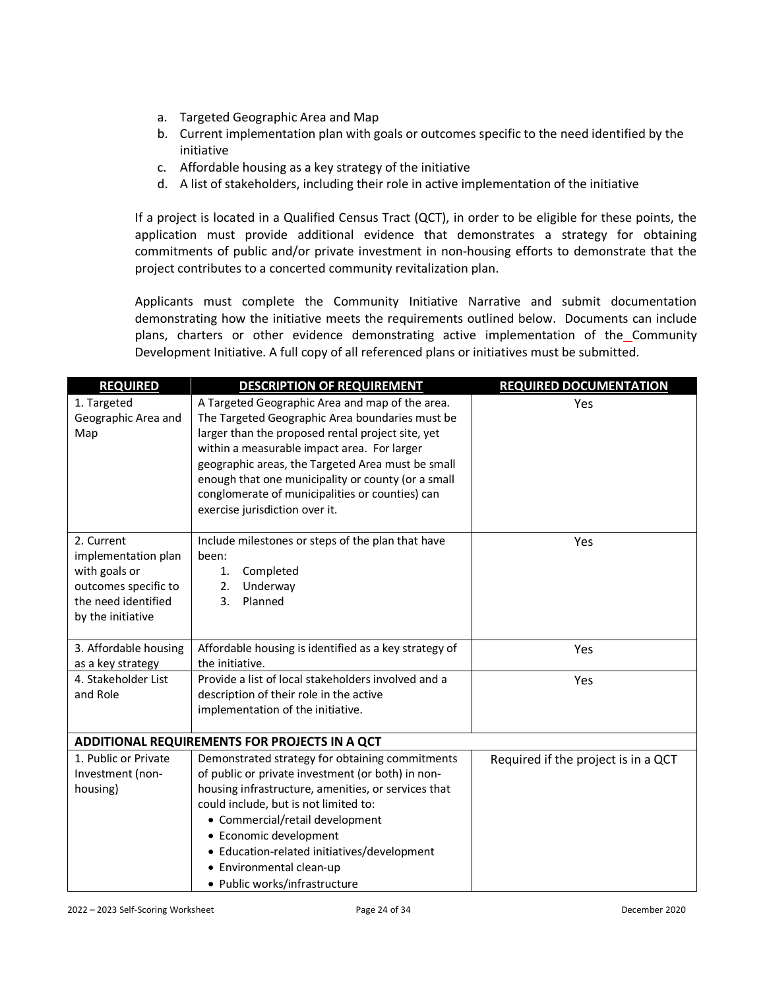- a. Targeted Geographic Area and Map
- b. Current implementation plan with goals or outcomes specific to the need identified by the initiative
- c. Affordable housing as a key strategy of the initiative
- d. A list of stakeholders, including their role in active implementation of the initiative

If a project is located in a Qualified Census Tract (QCT), in order to be eligible for these points, the application must provide additional evidence that demonstrates a strategy for obtaining commitments of public and/or private investment in non-housing efforts to demonstrate that the project contributes to a concerted community revitalization plan.

Applicants must complete the Community Initiative Narrative and submit documentation demonstrating how the initiative meets the requirements outlined below. Documents can include plans, charters or other evidence demonstrating active implementation of the Community Development Initiative. A full copy of all referenced plans or initiatives must be submitted.

| <b>REQUIRED</b>       | <b>DESCRIPTION OF REQUIREMENT</b>                     | <b>REQUIRED DOCUMENTATION</b>       |
|-----------------------|-------------------------------------------------------|-------------------------------------|
| 1. Targeted           | A Targeted Geographic Area and map of the area.       | Yes                                 |
| Geographic Area and   | The Targeted Geographic Area boundaries must be       |                                     |
| Map                   | larger than the proposed rental project site, yet     |                                     |
|                       | within a measurable impact area. For larger           |                                     |
|                       | geographic areas, the Targeted Area must be small     |                                     |
|                       | enough that one municipality or county (or a small    |                                     |
|                       | conglomerate of municipalities or counties) can       |                                     |
|                       | exercise jurisdiction over it.                        |                                     |
| 2. Current            | Include milestones or steps of the plan that have     | Yes                                 |
| implementation plan   | been:                                                 |                                     |
| with goals or         | Completed<br>1.                                       |                                     |
| outcomes specific to  | 2.<br>Underway                                        |                                     |
| the need identified   | Planned<br>3.                                         |                                     |
| by the initiative     |                                                       |                                     |
| 3. Affordable housing | Affordable housing is identified as a key strategy of | Yes                                 |
| as a key strategy     | the initiative.                                       |                                     |
| 4. Stakeholder List   | Provide a list of local stakeholders involved and a   | Yes                                 |
| and Role              | description of their role in the active               |                                     |
|                       | implementation of the initiative.                     |                                     |
|                       | ADDITIONAL REQUIREMENTS FOR PROJECTS IN A QCT         |                                     |
| 1. Public or Private  | Demonstrated strategy for obtaining commitments       | Required if the project is in a QCT |
| Investment (non-      | of public or private investment (or both) in non-     |                                     |
| housing)              | housing infrastructure, amenities, or services that   |                                     |
|                       | could include, but is not limited to:                 |                                     |
|                       | • Commercial/retail development                       |                                     |
|                       | • Economic development                                |                                     |
|                       | • Education-related initiatives/development           |                                     |
|                       | • Environmental clean-up                              |                                     |
|                       | • Public works/infrastructure                         |                                     |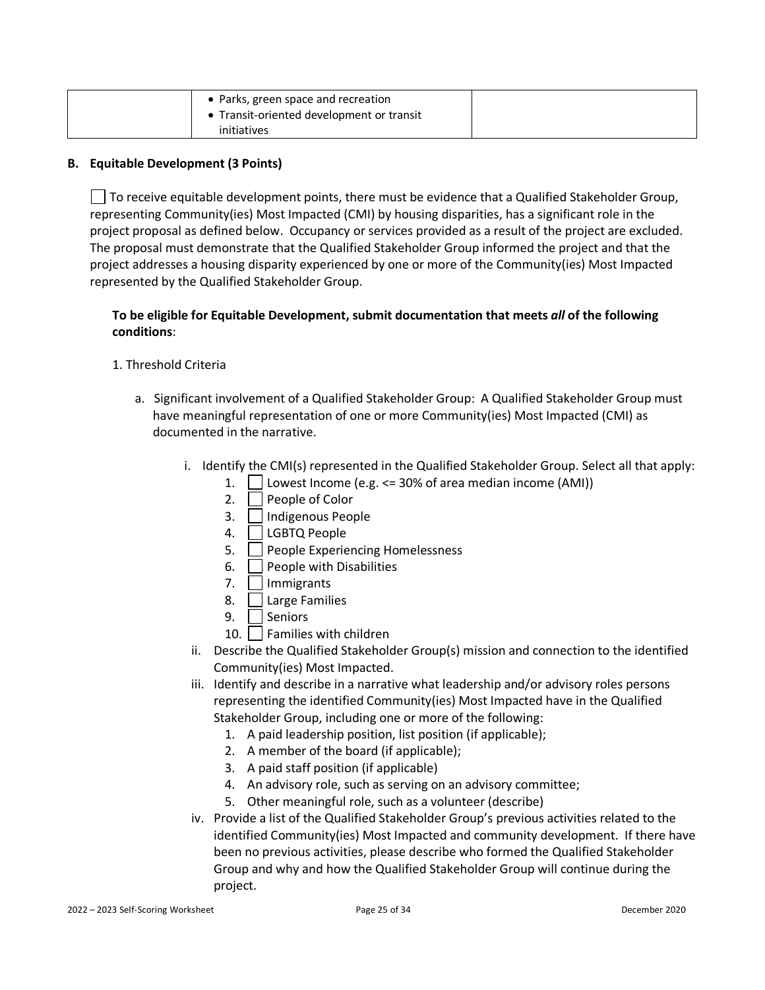| • Parks, green space and recreation       |  |
|-------------------------------------------|--|
| • Transit-oriented development or transit |  |
| initiatives                               |  |

#### <span id="page-24-0"></span>**B. Equitable Development (3 Points)**

 $\Box$  To receive equitable development points, there must be evidence that a Qualified Stakeholder Group, representing Community(ies) Most Impacted (CMI) by housing disparities, has a significant role in the project proposal as defined below. Occupancy or services provided as a result of the project are excluded. The proposal must demonstrate that the Qualified Stakeholder Group informed the project and that the project addresses a housing disparity experienced by one or more of the Community(ies) Most Impacted represented by the Qualified Stakeholder Group.

### **To be eligible for Equitable Development, submit documentation that meets** *all* **of the following conditions**:

### 1. Threshold Criteria

- a. Significant involvement of a Qualified Stakeholder Group: A Qualified Stakeholder Group must have meaningful representation of one or more Community(ies) Most Impacted (CMI) as documented in the narrative.
	- i. Identify the CMI(s) represented in the Qualified Stakeholder Group. Select all that apply:
		- 1.  $\vert$  Lowest Income (e.g.  $\leq$  30% of area median income (AMI))
		- 2.  $\vert$  People of Color
		- 3. | Indigenous People
		- 4. | | LGBTQ People
		- 5. **People Experiencing Homelessness**
		- 6.  $\vert$  People with Disabilities
		- 7. | Immigrants
		- 8. | Large Families
		- 9. Seniors
		- 10. Families with children
	- ii. Describe the Qualified Stakeholder Group(s) mission and connection to the identified Community(ies) Most Impacted.
	- iii. Identify and describe in a narrative what leadership and/or advisory roles persons representing the identified Community(ies) Most Impacted have in the Qualified Stakeholder Group, including one or more of the following:
		- 1. A paid leadership position, list position (if applicable);
		- 2. A member of the board (if applicable);
		- 3. A paid staff position (if applicable)
		- 4. An advisory role, such as serving on an advisory committee;
		- 5. Other meaningful role, such as a volunteer (describe)
	- iv. Provide a list of the Qualified Stakeholder Group's previous activities related to the identified Community(ies) Most Impacted and community development. If there have been no previous activities, please describe who formed the Qualified Stakeholder Group and why and how the Qualified Stakeholder Group will continue during the project.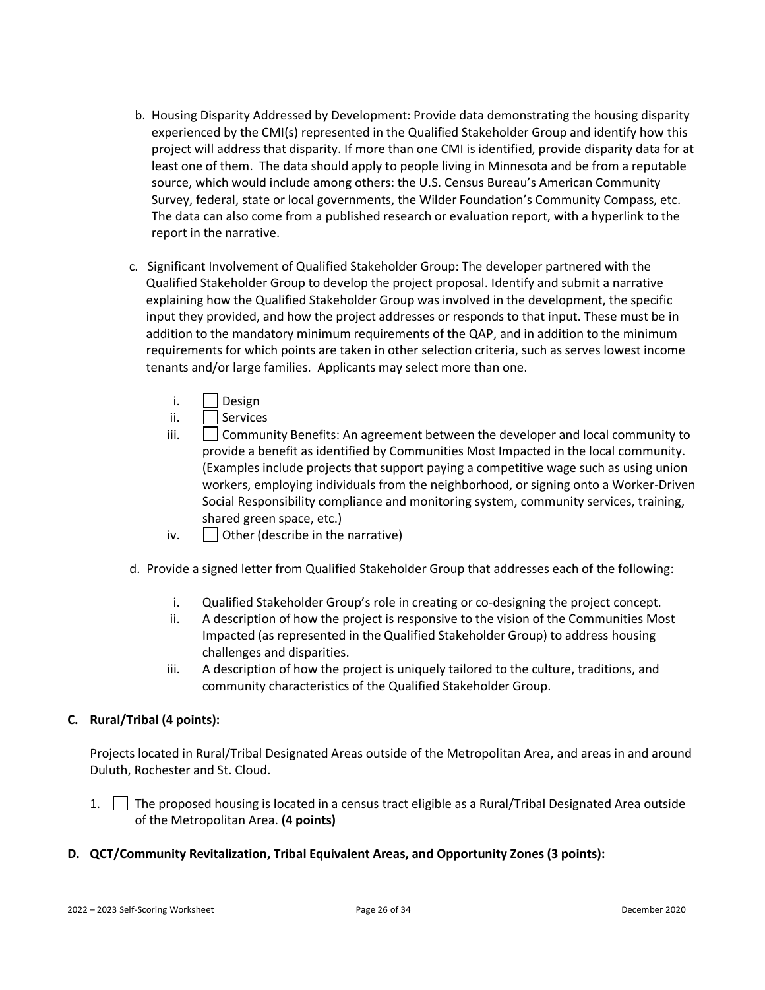- b. Housing Disparity Addressed by Development: Provide data demonstrating the housing disparity experienced by the CMI(s) represented in the Qualified Stakeholder Group and identify how this project will address that disparity. If more than one CMI is identified, provide disparity data for at least one of them. The data should apply to people living in Minnesota and be from a reputable source, which would include among others: the U.S. Census Bureau's American Community Survey, federal, state or local governments, the Wilder Foundation's Community Compass, etc. The data can also come from a published research or evaluation report, with a hyperlink to the report in the narrative.
- c. Significant Involvement of Qualified Stakeholder Group: The developer partnered with the Qualified Stakeholder Group to develop the project proposal. Identify and submit a narrative explaining how the Qualified Stakeholder Group was involved in the development, the specific input they provided, and how the project addresses or responds to that input. These must be in addition to the mandatory minimum requirements of the QAP, and in addition to the minimum requirements for which points are taken in other selection criteria, such as serves lowest income tenants and/or large families. Applicants may select more than one.
	- i. Design
	- ii. | Services
	- $\parallel$   $\parallel$  Community Benefits: An agreement between the developer and local community to provide a benefit as identified by Communities Most Impacted in the local community. (Examples include projects that support paying a competitive wage such as using union workers, employing individuals from the neighborhood, or signing onto a Worker-Driven Social Responsibility compliance and monitoring system, community services, training, shared green space, etc.)
	- iv.  $\Box$  Other (describe in the narrative)
- d. Provide a signed letter from Qualified Stakeholder Group that addresses each of the following:
	- i. Qualified Stakeholder Group's role in creating or co-designing the project concept.
	- ii. A description of how the project is responsive to the vision of the Communities Most Impacted (as represented in the Qualified Stakeholder Group) to address housing challenges and disparities.
	- iii. A description of how the project is uniquely tailored to the culture, traditions, and community characteristics of the Qualified Stakeholder Group.

#### <span id="page-25-0"></span>**C. Rural/Tribal (4 points):**

Projects located in Rural/Tribal Designated Areas outside of the Metropolitan Area, and areas in and around Duluth, Rochester and St. Cloud.

- 1. The proposed housing is located in a census tract eligible as a Rural/Tribal Designated Area outside of the Metropolitan Area. **(4 points)**
- <span id="page-25-1"></span>**D. QCT/Community Revitalization, Tribal Equivalent Areas, and Opportunity Zones (3 points):**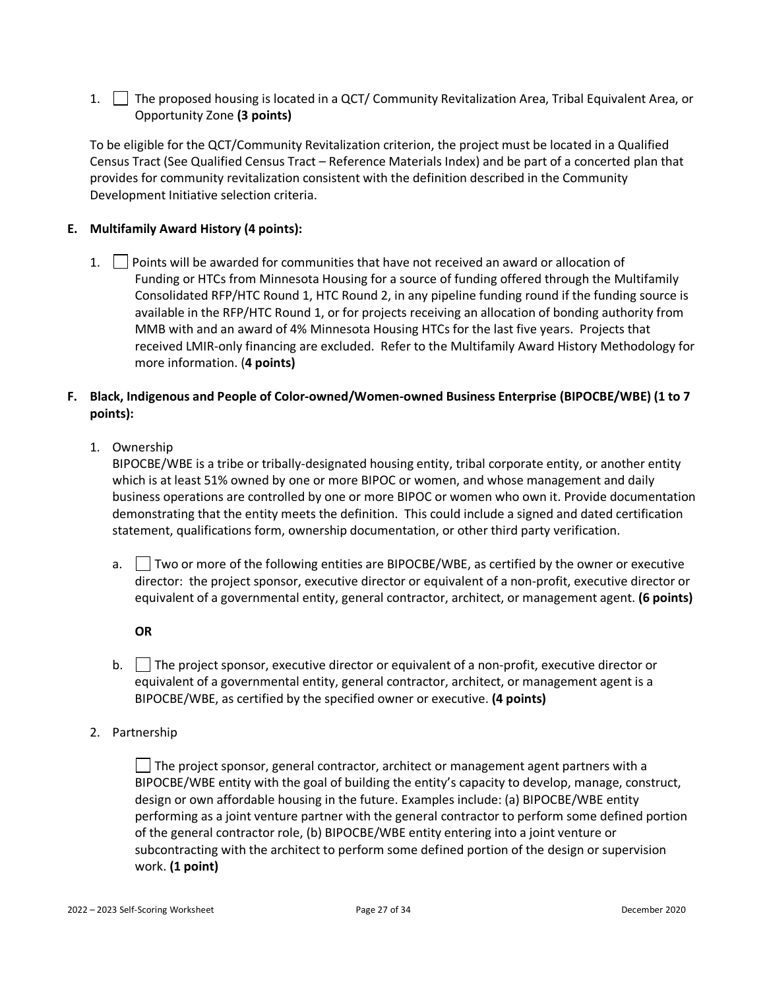1. The proposed housing is located in a QCT/ Community Revitalization Area, Tribal Equivalent Area, or Opportunity Zone **(3 points)**

To be eligible for the QCT/Community Revitalization criterion, the project must be located in a Qualified Census Tract (See Qualified Census Tract – Reference Materials Index) and be part of a concerted plan that provides for community revitalization consistent with the definition described in the Community Development Initiative selection criteria.

### <span id="page-26-0"></span>**E. Multifamily Award History (4 points):**

1. Points will be awarded for communities that have not received an award or allocation of Funding or HTCs from Minnesota Housing for a source of funding offered through the Multifamily Consolidated RFP/HTC Round 1, HTC Round 2, in any pipeline funding round if the funding source is available in the RFP/HTC Round 1, or for projects receiving an allocation of bonding authority from MMB with and an award of 4% Minnesota Housing HTCs for the last five years. Projects that received LMIR-only financing are excluded. Refer to the Multifamily Award History Methodology for more information. (**4 points)**

### <span id="page-26-1"></span>**F. Black, Indigenous and People of Color-owned/Women-owned Business Enterprise (BIPOCBE/WBE) (1 to 7 points):**

1. Ownership

BIPOCBE/WBE is a tribe or tribally-designated housing entity, tribal corporate entity, or another entity which is at least 51% owned by one or more BIPOC or women, and whose management and daily business operations are controlled by one or more BIPOC or women who own it. Provide documentation demonstrating that the entity meets the definition. This could include a signed and dated certification statement, qualifications form, ownership documentation, or other third party verification.

- a.  $\vert$  Two or more of the following entities are BIPOCBE/WBE, as certified by the owner or executive director: the project sponsor, executive director or equivalent of a non-profit, executive director or equivalent of a governmental entity, general contractor, architect, or management agent. **(6 points)**
	- **OR**
- b.  $\Box$  The project sponsor, executive director or equivalent of a non-profit, executive director or equivalent of a governmental entity, general contractor, architect, or management agent is a BIPOCBE/WBE, as certified by the specified owner or executive. **(4 points)**
- 2. Partnership

 $\Box$  The project sponsor, general contractor, architect or management agent partners with a BIPOCBE/WBE entity with the goal of building the entity's capacity to develop, manage, construct, design or own affordable housing in the future. Examples include: (a) BIPOCBE/WBE entity performing as a joint venture partner with the general contractor to perform some defined portion of the general contractor role, (b) BIPOCBE/WBE entity entering into a joint venture or subcontracting with the architect to perform some defined portion of the design or supervision work. **(1 point)**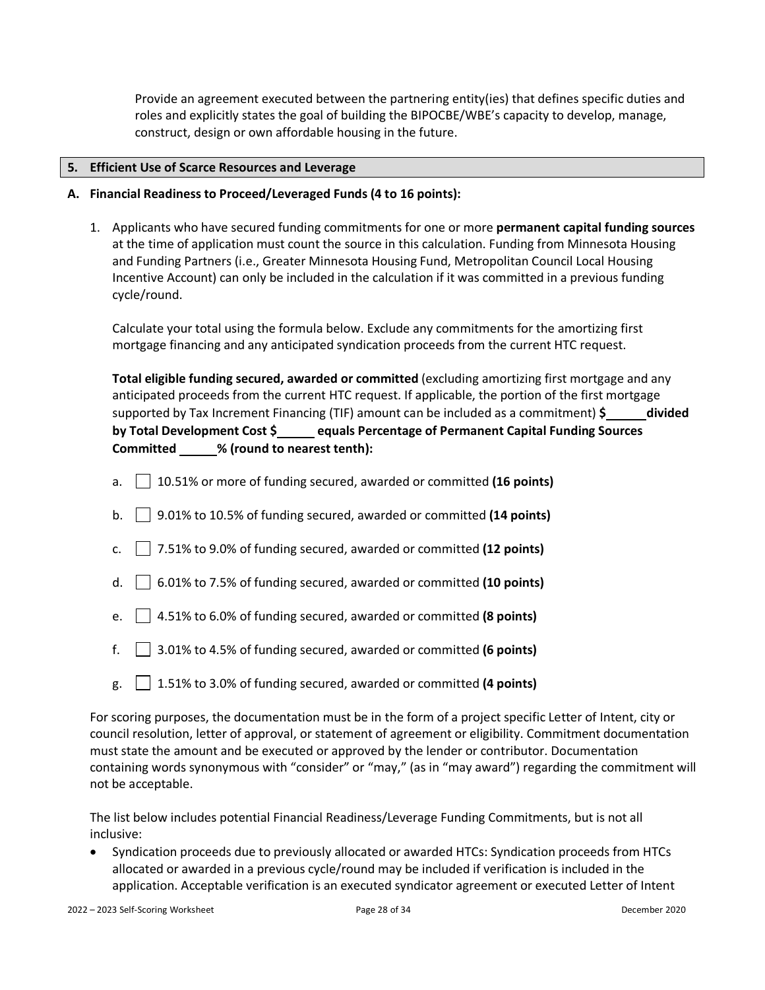Provide an agreement executed between the partnering entity(ies) that defines specific duties and roles and explicitly states the goal of building the BIPOCBE/WBE's capacity to develop, manage, construct, design or own affordable housing in the future.

#### <span id="page-27-0"></span>**5. Efficient Use of Scarce Resources and Leverage**

- <span id="page-27-1"></span>**A. Financial Readiness to Proceed/Leveraged Funds (4 to 16 points):**
	- 1. Applicants who have secured funding commitments for one or more **permanent capital funding sources**  at the time of application must count the source in this calculation. Funding from Minnesota Housing and Funding Partners (i.e., Greater Minnesota Housing Fund, Metropolitan Council Local Housing Incentive Account) can only be included in the calculation if it was committed in a previous funding cycle/round.

Calculate your total using the formula below. Exclude any commitments for the amortizing first mortgage financing and any anticipated syndication proceeds from the current HTC request.

| Total eligible funding secured, awarded or committed (excluding amortizing first mortgage and any           |
|-------------------------------------------------------------------------------------------------------------|
| anticipated proceeds from the current HTC request. If applicable, the portion of the first mortgage         |
| supported by Tax Increment Financing (TIF) amount can be included as a commitment) $\frac{1}{2}$<br>divided |
| by Total Development Cost \$<br>equals Percentage of Permanent Capital Funding Sources                      |
| % (round to nearest tenth):<br><b>Committed</b>                                                             |

- a. 10.51% or more of funding secured, awarded or committed **(16 points)**
- b. 9.01% to 10.5% of funding secured, awarded or committed **(14 points)**
- c. 7.51% to 9.0% of funding secured, awarded or committed **(12 points)**
- d. 6.01% to 7.5% of funding secured, awarded or committed **(10 points)**
- e.  $\vert$  | 4.51% to 6.0% of funding secured, awarded or committed **(8 points)**
- f. 3.01% to 4.5% of funding secured, awarded or committed **(6 points)**
- $g. \Box$  1.51% to 3.0% of funding secured, awarded or committed **(4 points)**

For scoring purposes, the documentation must be in the form of a project specific Letter of Intent, city or council resolution, letter of approval, or statement of agreement or eligibility. Commitment documentation must state the amount and be executed or approved by the lender or contributor. Documentation containing words synonymous with "consider" or "may," (as in "may award") regarding the commitment will not be acceptable.

The list below includes potential Financial Readiness/Leverage Funding Commitments, but is not all inclusive:

• Syndication proceeds due to previously allocated or awarded HTCs: Syndication proceeds from HTCs allocated or awarded in a previous cycle/round may be included if verification is included in the application. Acceptable verification is an executed syndicator agreement or executed Letter of Intent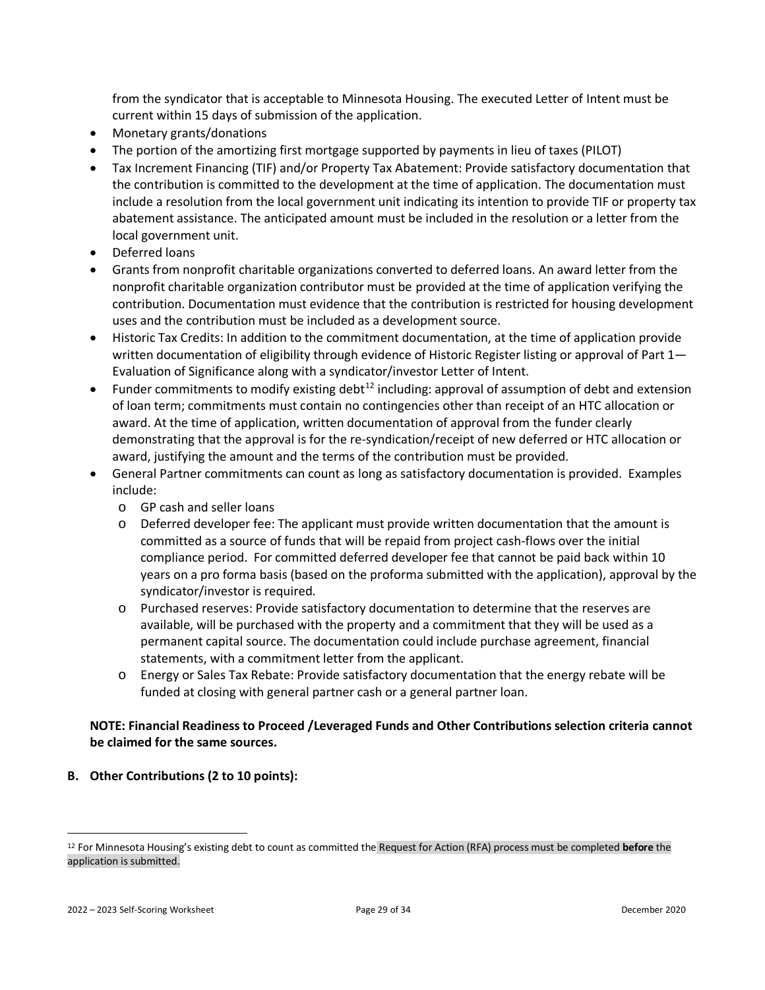from the syndicator that is acceptable to Minnesota Housing. The executed Letter of Intent must be current within 15 days of submission of the application.

- Monetary grants/donations
- The portion of the amortizing first mortgage supported by payments in lieu of taxes (PILOT)
- Tax Increment Financing (TIF) and/or Property Tax Abatement: Provide satisfactory documentation that the contribution is committed to the development at the time of application. The documentation must include a resolution from the local government unit indicating its intention to provide TIF or property tax abatement assistance. The anticipated amount must be included in the resolution or a letter from the local government unit.
- Deferred loans
- Grants from nonprofit charitable organizations converted to deferred loans. An award letter from the nonprofit charitable organization contributor must be provided at the time of application verifying the contribution. Documentation must evidence that the contribution is restricted for housing development uses and the contribution must be included as a development source.
- Historic Tax Credits: In addition to the commitment documentation, at the time of application provide written documentation of eligibility through evidence of Historic Register listing or approval of Part 1— Evaluation of Significance along with a syndicator/investor Letter of Intent.
- Funder commitments to modify existing debt<sup>[12](#page-28-1)</sup> including: approval of assumption of debt and extension of loan term; commitments must contain no contingencies other than receipt of an HTC allocation or award. At the time of application, written documentation of approval from the funder clearly demonstrating that the approval is for the re-syndication/receipt of new deferred or HTC allocation or award, justifying the amount and the terms of the contribution must be provided.
- General Partner commitments can count as long as satisfactory documentation is provided. Examples include:
	- o GP cash and seller loans
	- o Deferred developer fee: The applicant must provide written documentation that the amount is committed as a source of funds that will be repaid from project cash-flows over the initial compliance period. For committed deferred developer fee that cannot be paid back within 10 years on a pro forma basis (based on the proforma submitted with the application), approval by the syndicator/investor is required.
	- o Purchased reserves: Provide satisfactory documentation to determine that the reserves are available, will be purchased with the property and a commitment that they will be used as a permanent capital source. The documentation could include purchase agreement, financial statements, with a commitment letter from the applicant.
	- o Energy or Sales Tax Rebate: Provide satisfactory documentation that the energy rebate will be funded at closing with general partner cash or a general partner loan.

### **NOTE: Financial Readiness to Proceed /Leveraged Funds and Other Contributions selection criteria cannot be claimed for the same sources.**

<span id="page-28-0"></span>**B. Other Contributions (2 to 10 points):**

<span id="page-28-1"></span><sup>12</sup> For Minnesota Housing's existing debt to count as committed the Request for Action (RFA) process must be completed **before** the application is submitted.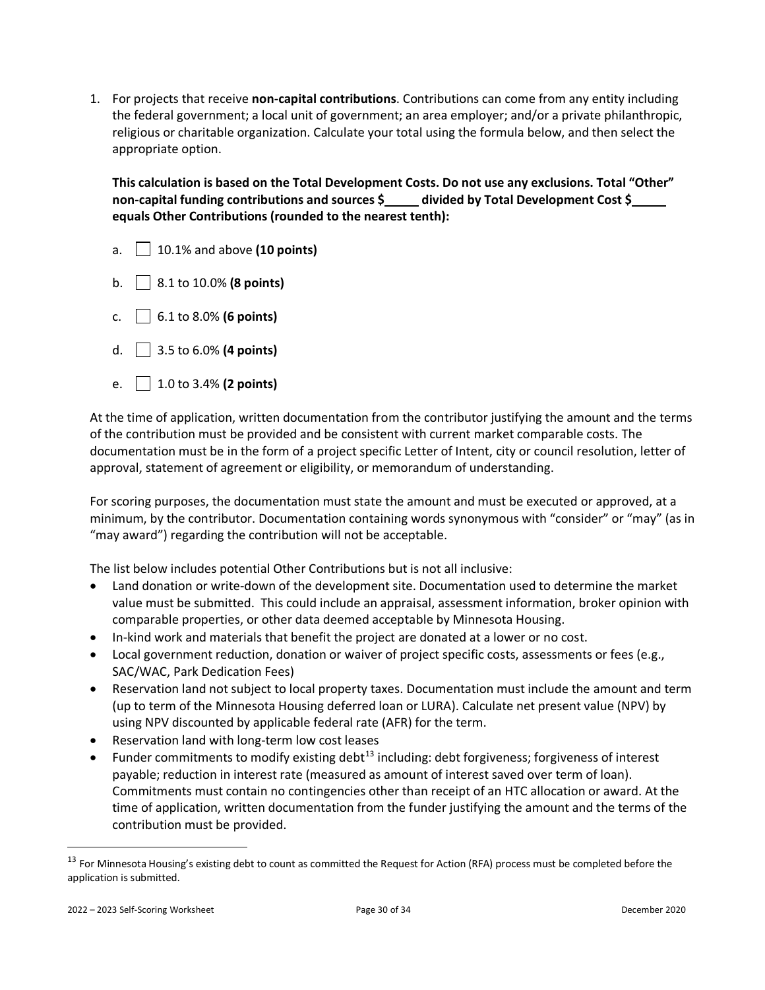1. For projects that receive **non-capital contributions**. Contributions can come from any entity including the federal government; a local unit of government; an area employer; and/or a private philanthropic, religious or charitable organization. Calculate your total using the formula below, and then select the appropriate option.

**This calculation is based on the Total Development Costs. Do not use any exclusions. Total "Other" non-capital funding contributions and sources \$ divided by Total Development Cost \$ equals Other Contributions (rounded to the nearest tenth):**

- a. 10.1% and above **(10 points)**
- b. 8.1 to 10.0% **(8 points)**
- c.  $\Box$  6.1 to 8.0% **(6 points)**
- d. 3.5 to 6.0% **(4 points)**
- e. 1.0 to 3.4% **(2 points)**

At the time of application, written documentation from the contributor justifying the amount and the terms of the contribution must be provided and be consistent with current market comparable costs. The documentation must be in the form of a project specific Letter of Intent, city or council resolution, letter of approval, statement of agreement or eligibility, or memorandum of understanding.

For scoring purposes, the documentation must state the amount and must be executed or approved, at a minimum, by the contributor. Documentation containing words synonymous with "consider" or "may" (as in "may award") regarding the contribution will not be acceptable.

The list below includes potential Other Contributions but is not all inclusive:

- Land donation or write-down of the development site. Documentation used to determine the market value must be submitted. This could include an appraisal, assessment information, broker opinion with comparable properties, or other data deemed acceptable by Minnesota Housing.
- In-kind work and materials that benefit the project are donated at a lower or no cost.
- Local government reduction, donation or waiver of project specific costs, assessments or fees (e.g., SAC/WAC, Park Dedication Fees)
- Reservation land not subject to local property taxes. Documentation must include the amount and term (up to term of the Minnesota Housing deferred loan or LURA). Calculate net present value (NPV) by using NPV discounted by applicable federal rate (AFR) for the term.
- Reservation land with long-term low cost leases
- Funder commitments to modify existing debt<sup>[13](#page-29-0)</sup> including: debt forgiveness; forgiveness of interest payable; reduction in interest rate (measured as amount of interest saved over term of loan). Commitments must contain no contingencies other than receipt of an HTC allocation or award. At the time of application, written documentation from the funder justifying the amount and the terms of the contribution must be provided.

<span id="page-29-0"></span><sup>&</sup>lt;sup>13</sup> For Minnesota Housing's existing debt to count as committed the Request for Action (RFA) process must be completed before the application is submitted.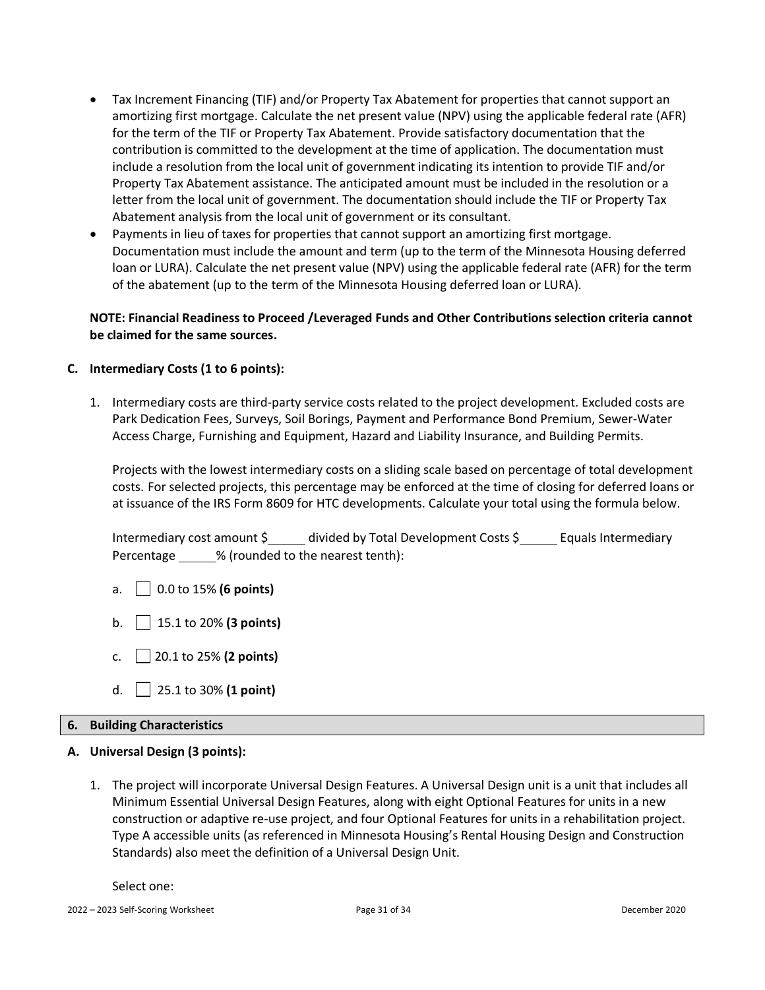- Tax Increment Financing (TIF) and/or Property Tax Abatement for properties that cannot support an amortizing first mortgage. Calculate the net present value (NPV) using the applicable federal rate (AFR) for the term of the TIF or Property Tax Abatement. Provide satisfactory documentation that the contribution is committed to the development at the time of application. The documentation must include a resolution from the local unit of government indicating its intention to provide TIF and/or Property Tax Abatement assistance. The anticipated amount must be included in the resolution or a letter from the local unit of government. The documentation should include the TIF or Property Tax Abatement analysis from the local unit of government or its consultant.
- Payments in lieu of taxes for properties that cannot support an amortizing first mortgage. Documentation must include the amount and term (up to the term of the Minnesota Housing deferred loan or LURA). Calculate the net present value (NPV) using the applicable federal rate (AFR) for the term of the abatement (up to the term of the Minnesota Housing deferred loan or LURA).

### **NOTE: Financial Readiness to Proceed /Leveraged Funds and Other Contributions selection criteria cannot be claimed for the same sources.**

### <span id="page-30-0"></span>**C. Intermediary Costs (1 to 6 points):**

1. Intermediary costs are third-party service costs related to the project development. Excluded costs are Park Dedication Fees, Surveys, Soil Borings, Payment and Performance Bond Premium, Sewer-Water Access Charge, Furnishing and Equipment, Hazard and Liability Insurance, and Building Permits.

Projects with the lowest intermediary costs on a sliding scale based on percentage of total development costs. For selected projects, this percentage may be enforced at the time of closing for deferred loans or at issuance of the IRS Form 8609 for HTC developments. Calculate your total using the formula below.

Intermediary cost amount \$ \_\_\_\_\_ divided by Total Development Costs \$ \_\_\_\_\_ Equals Intermediary Percentage % (rounded to the nearest tenth):

- a. 0.0 to 15% **(6 points)**
- b. 15.1 to 20% **(3 points)**
- c. 20.1 to 25% **(2 points)**
- d. 25.1 to 30% **(1 point)**

#### <span id="page-30-1"></span>**6. Building Characteristics**

#### <span id="page-30-2"></span>**A. Universal Design (3 points):**

1. The project will incorporate Universal Design Features. A Universal Design unit is a unit that includes all Minimum Essential Universal Design Features, along with eight Optional Features for units in a new construction or adaptive re-use project, and four Optional Features for units in a rehabilitation project. Type A accessible units (as referenced in Minnesota Housing's Rental Housing Design and Construction Standards) also meet the definition of a Universal Design Unit.

Select one: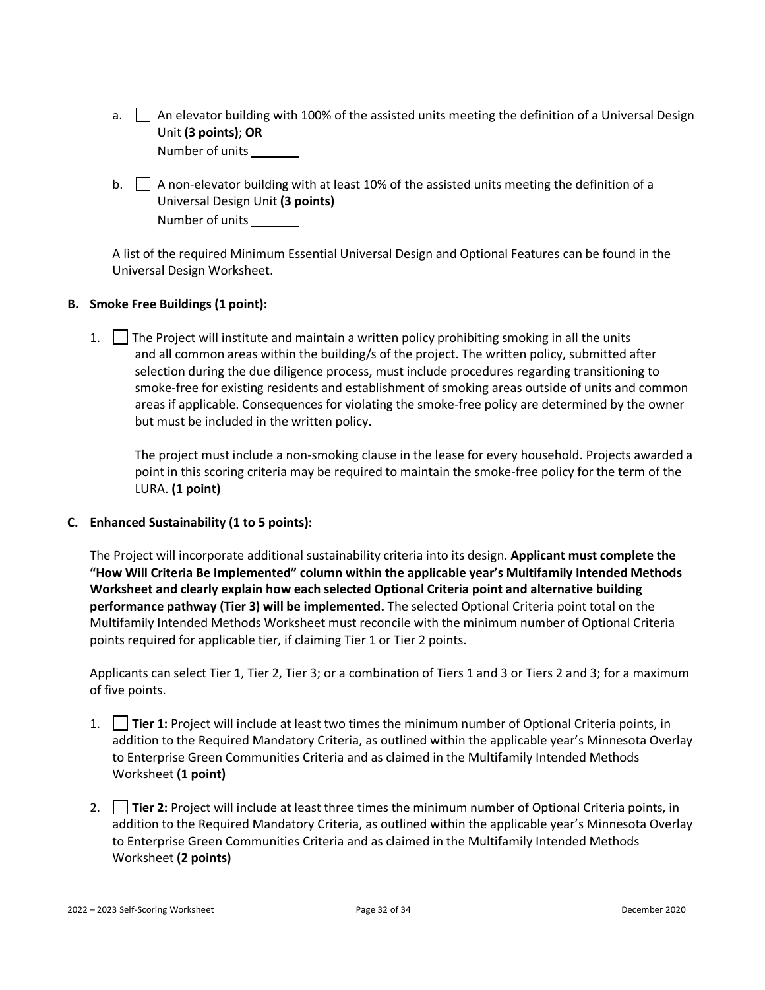- a. An elevator building with 100% of the assisted units meeting the definition of a Universal Design Unit **(3 points)**; **OR** Number of units
- b.  $\Box$  A non-elevator building with at least 10% of the assisted units meeting the definition of a Universal Design Unit **(3 points)** Number of units

A list of the required Minimum Essential Universal Design and Optional Features can be found in the Universal Design Worksheet.

### <span id="page-31-0"></span>**B. Smoke Free Buildings (1 point):**

1.  $\parallel$  The Project will institute and maintain a written policy prohibiting smoking in all the units and all common areas within the building/s of the project. The written policy, submitted after selection during the due diligence process, must include procedures regarding transitioning to smoke-free for existing residents and establishment of smoking areas outside of units and common areas if applicable. Consequences for violating the smoke-free policy are determined by the owner but must be included in the written policy.

The project must include a non-smoking clause in the lease for every household. Projects awarded a point in this scoring criteria may be required to maintain the smoke-free policy for the term of the LURA. **(1 point)**

#### <span id="page-31-1"></span>**C. Enhanced Sustainability (1 to 5 points):**

The Project will incorporate additional sustainability criteria into its design. **Applicant must complete the "How Will Criteria Be Implemented" column within the applicable year's Multifamily Intended Methods Worksheet and clearly explain how each selected Optional Criteria point and alternative building performance pathway (Tier 3) will be implemented.** The selected Optional Criteria point total on the Multifamily Intended Methods Worksheet must reconcile with the minimum number of Optional Criteria points required for applicable tier, if claiming Tier 1 or Tier 2 points.

Applicants can select Tier 1, Tier 2, Tier 3; or a combination of Tiers 1 and 3 or Tiers 2 and 3; for a maximum of five points.

- 1. **Tier 1:** Project will include at least two times the minimum number of Optional Criteria points, in addition to the Required Mandatory Criteria, as outlined within the applicable year's Minnesota Overlay to Enterprise Green Communities Criteria and as claimed in the Multifamily Intended Methods Worksheet **(1 point)**
- 2. **Tier 2:** Project will include at least three times the minimum number of Optional Criteria points, in addition to the Required Mandatory Criteria, as outlined within the applicable year's Minnesota Overlay to Enterprise Green Communities Criteria and as claimed in the Multifamily Intended Methods Worksheet **(2 points)**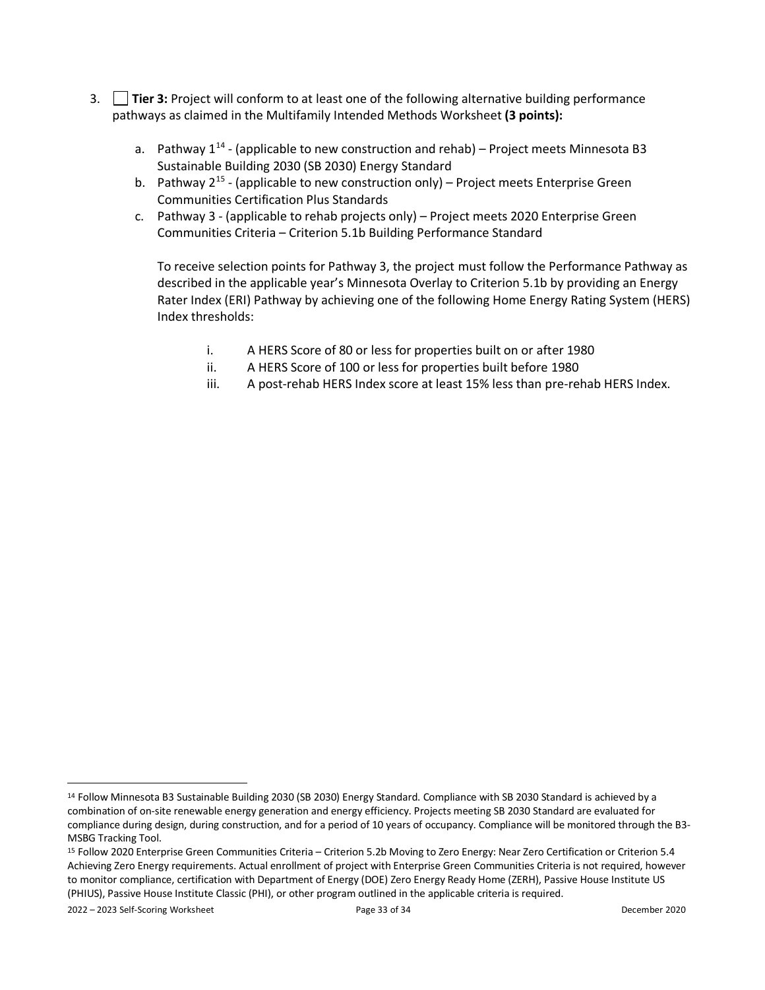- 3. **Tier 3:** Project will conform to at least one of the following alternative building performance pathways as claimed in the Multifamily Intended Methods Worksheet **(3 points):**
	- a. Pathway  $1^{14}$  $1^{14}$  $1^{14}$  (applicable to new construction and rehab) Project meets Minnesota B3 Sustainable Building 2030 (SB 2030) Energy Standard
	- b. Pathway  $2^{15}$  $2^{15}$  $2^{15}$  (applicable to new construction only) Project meets Enterprise Green Communities Certification Plus Standards
	- c. Pathway 3 (applicable to rehab projects only) Project meets 2020 Enterprise Green Communities Criteria – Criterion 5.1b Building Performance Standard

To receive selection points for Pathway 3, the project must follow the Performance Pathway as described in the applicable year's Minnesota Overlay to Criterion 5.1b by providing an Energy Rater Index (ERI) Pathway by achieving one of the following Home Energy Rating System (HERS) Index thresholds:

- i. A HERS Score of 80 or less for properties built on or after 1980
- ii. A HERS Score of 100 or less for properties built before 1980
- iii. A post-rehab HERS Index score at least 15% less than pre-rehab HERS Index.

2022 – 2023 Self-Scoring Worksheet Page 33 of 34 December 2020

<span id="page-32-0"></span><sup>&</sup>lt;sup>14</sup> Follow Minnesota B3 Sustainable Building 2030 (SB 2030) Energy Standard. Compliance with SB 2030 Standard is achieved by a combination of on-site renewable energy generation and energy efficiency. Projects meeting SB 2030 Standard are evaluated for compliance during design, during construction, and for a period of 10 years of occupancy. Compliance will be monitored through the B3- MSBG Tracking Tool.

<span id="page-32-1"></span><sup>15</sup> Follow 2020 Enterprise Green Communities Criteria – Criterion 5.2b Moving to Zero Energy: Near Zero Certification or Criterion 5.4 Achieving Zero Energy requirements. Actual enrollment of project with Enterprise Green Communities Criteria is not required, however to monitor compliance, certification with Department of Energy (DOE) Zero Energy Ready Home (ZERH), Passive House Institute US (PHIUS), Passive House Institute Classic (PHI), or other program outlined in the applicable criteria is required.